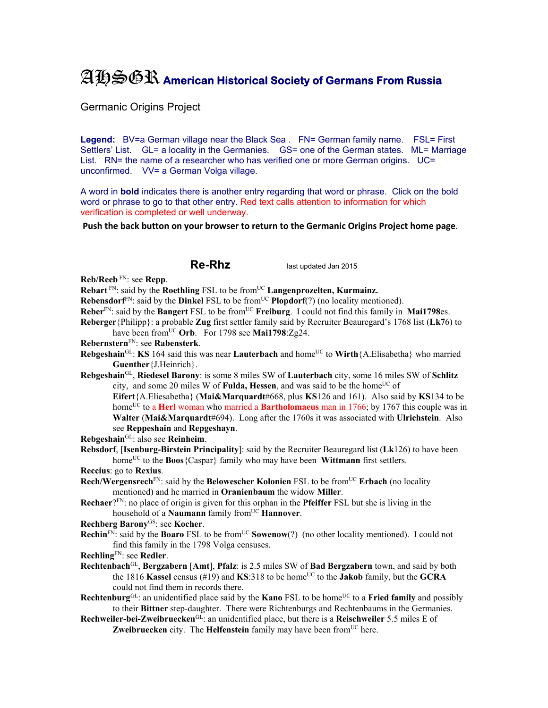## AHSGR **American Historical Society of Germans From Russia**

Germanic Origins Project

Legend: BV=a German village near the Black Sea . FN= German family name. FSL= First Settlers' List. GL= a locality in the Germanies. GS= one of the German states. ML= Marriage List. RN= the name of a researcher who has verified one or more German origins. UC= unconfirmed. VV= a German Volga village.

A word in **bold** indicates there is another entry regarding that word or phrase. Click on the bold word or phrase to go to that other entry. Red text calls attention to information for which verification is completed or well underway.

**Push the back button on your browser to return to the Germanic Origins Project home page**.

**Re-Rhz** last updated Jan 2015

**Reb/Reeb** FN: see **Repp**.

**Rebart** FN: said by the **Roethling** FSL to be from<sup>UC</sup> **Langenprozelten, Kurmainz.** 

**Rebensdorf**<sup>FN</sup>: said by the **Dinkel** FSL to be from<sup>UC</sup> **Plopdorf**(?) (no locality mentioned).

**Reber**FN: said by the **Bangert** FSL to be fromUC **Freiburg**. I could not find this family in **Mai1798**es.

**Reberger**{Philipp}: a probable **Zug** first settler family said by Recruiter Beauregard's 1768 list (**Lk7**6) to have been fromUC **Orb**. For 1798 see **Mai1798**:Zg24.

- **Rebernstern**FN: see **Rabensterk**.
- **Rebgeshain**<sup>GL</sup>: **KS** 164 said this was near **Lauterbach** and home<sup>UC</sup> to **Wirth**{A.Elisabetha} who married **Guenther**{J.Heinrich}.

**Rebgeshain**GL, **Riedesel Barony**: is some 8 miles SW of **Lauterbach** city, some 16 miles SW of **Schlitz**  city, and some 20 miles W of **Fulda, Hessen**, and was said to be the home<sup>UC</sup> of

**Eifert**{A.Eliesabetha} (**Mai&Marquardt**#668, plus **KS**126 and 161). Also said by **KS**134 to be home<sup>UC</sup> to a **Herl** woman who married a **Bartholomaeus** man in 1766; by 1767 this couple was in **Walter** (**Mai&Marquardt**#694). Long after the 1760s it was associated with **Ulrichstein**. Also see **Reppeshain** and **Repgeshayn**.

**Rebgeshain**GL: also see **Reinheim**.

**Rebsdorf**, [**Isenburg-Birstein Principality**]: said by the Recruiter Beauregard list (**Lk**126) to have been home<sup>UC</sup> to the **Boos**{Caspar} family who may have been **Wittmann** first settlers.

**Reccius**: go to **Rexius**.

- **Rech/Wergensrech<sup>FN</sup>: said by the <b>Belowescher Kolonien** FSL to be from<sup>UC</sup> **Erbach** (no locality mentioned) and he married in **Oranienbaum** the widow **Miller**.
- **Rechaer**?FN: no place of origin is given for this orphan in the **Pfeiffer** FSL but she is living in the household of a **Naumann** family from<sup>UC</sup> **Hannover**.

**Rechberg Barony**GS: see **Kocher**.

- **Rechin**<sup>FN</sup>: said by the **Boaro** FSL to be from<sup>UC</sup> **Sowenow**(?) (no other locality mentioned). I could not find this family in the 1798 Volga censuses.
- **Rechling**FN: see **Redler**.
- **Rechtenbach**GL, **Bergzabern** [**Amt**], **Pfalz**: is 2.5 miles SW of **Bad Bergzabern** town, and said by both the 1816 **Kassel** census (#19) and **KS**:318 to be home<sup>UC</sup> to the **Jakob** family, but the **GCRA** could not find them in records there.
- **Rechtenburg**<sup>GL</sup>: an unidentified place said by the **Kano** FSL to be home<sup>UC</sup> to a **Fried family** and possibly to their **Bittner** step-daughter. There were Richtenburgs and Rechtenbaums in the Germanies.
- **Rechweiler-bei-Zweibruecken**GL: an unidentified place, but there is a **Reischweiler** 5.5 miles E of **Zweibruecken** city. The **Helfenstein** family may have been from<sup>UC</sup> here.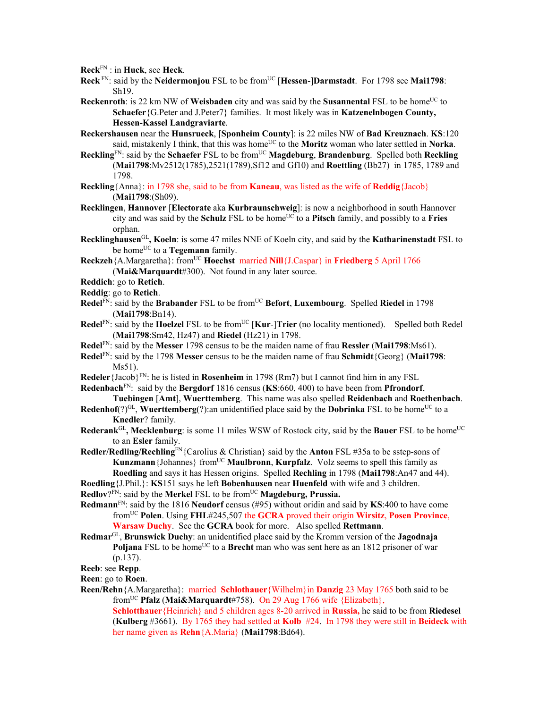**Reck**FN : in **Huck**, see **Heck**.

- Reck<sup>FN</sup>: said by the Neidermonjou FSL to be from<sup>UC</sup> [Hessen-]Darmstadt. For 1798 see Mai1798: Sh19.
- **Reckenroth**: is 22 km NW of **Weisbaden** city and was said by the **Susannental** FSL to be home<sup>UC</sup> to **Schaefer**{G.Peter and J.Peter7} families. It most likely was in **Katzenelnbogen County, Hessen-Kassel Landgraviarte**.
- **Reckershausen** near the **Hunsrueck**, [**Sponheim County**]: is 22 miles NW of **Bad Kreuznach**. **KS**:120 said, mistakenly I think, that this was home<sup>UC</sup> to the **Moritz** woman who later settled in **Norka**.
- Reckling<sup>FN</sup>: said by the **Schaefer** FSL to be from<sup>UC</sup> **Magdeburg**, **Brandenburg**. Spelled both Reckling (**Mai1798**:Mv2512(1785),2521(1789),Sf12 and Gf10) and **Roettling** (Bb27) in 1785, 1789 and 1798.
- **Reckling**{Anna}: in 1798 she, said to be from **Kaneau**, was listed as the wife of **Reddig**{Jacob} (**Mai1798**:(Sh09).
- **Recklingen**, **Hannover** [**Electorate** aka **Kurbraunschweig**]: is now a neighborhood in south Hannover city and was said by the **Schulz** FSL to be home<sup>UC</sup> to a **Pitsch** family, and possibly to a **Fries** orphan.
- **Recklinghausen**GL**, Koeln**: is some 47 miles NNE of Koeln city, and said by the **Katharinenstadt** FSL to be home<sup>UC</sup> to a **Tegemann** family.
- **Reckzeh**{A.Margaretha}: fromUC **Hoechst** married **Nill**{J.Caspar} in **Friedberg** 5 April 1766 (**Mai&Marquardt**#300). Not found in any later source.
- **Reddich**: go to **Retich**.
- **Reddig**: go to **Retich**.
- Redel<sup>FN</sup>: said by the Brabander FSL to be from<sup>UC</sup> Befort, Luxembourg. Spelled Riedel in 1798 (**Mai1798**:Bn14).
- **Redel**<sup>FN</sup>: said by the **Hoelzel** FSL to be from<sup>UC</sup> [**Kur-**]Trier (no locality mentioned). Spelled both Redel (**Mai1798**:Sm42, Hz47) and **Riedel** (Hz21) in 1798.
- **Redel**FN: said by the **Messer** 1798 census to be the maiden name of frau **Ressler** (**Mai1798**:Ms61).
- **Redel**FN: said by the 1798 **Messer** census to be the maiden name of frau **Schmidt**{Georg} (**Mai1798**: Ms51).
- **Redeler**{Jacob}FN: he is listed in **Rosenheim** in 1798 (Rm7) but I cannot find him in any FSL

**Redenbach**FN: said by the **Bergdorf** 1816 census (**KS**:660, 400) to have been from **Pfrondorf**, **Tuebingen** [**Amt**], **Wuerttemberg**. This name was also spelled **Reidenbach** and **Roethenbach**.

- **Redenhof**(?)<sup>GL</sup>, **Wuerttemberg**(?):an unidentified place said by the **Dobrinka** FSL to be home<sup>UC</sup> to a **Knedler**? family.
- **Rederank**GL, Mecklenburg: is some 11 miles WSW of Rostock city, said by the **Bauer** FSL to be home<sup>UC</sup> to an **Esler** family.

**Redler/Redling/Rechling**FN{Carolius & Christian} said by the **Anton** FSL #35a to be sstep-sons of **Kunzmann** {Johannes} from<sup>UC</sup> **Maulbronn**, **Kurpfalz**. Volz seems to spell this family as **Roedling** and says it has Hessen origins. Spelled **Rechling** in 1798 (**Mai1798**:An47 and 44).

**Roedling**{J.Phil.}: **KS**151 says he left **Bobenhausen** near **Huenfeld** with wife and 3 children. **Redlov**?<sup>FN</sup>: said by the **Merkel** FSL to be from<sup>UC</sup> **Magdeburg, Prussia.** 

- **Redmann**FN: said by the 1816 **Neudorf** census (#95) without oridin and said by **KS**:400 to have come fromUC **Polen**. Using **FHL**#245,507 the **GCRA** proved their origin **Wirsitz**, **Posen Province**, **Warsaw Duchy**. See the **GCRA** book for more. Also spelled **Rettmann**.
- **Redmar**GL, **Brunswick Duchy**: an unidentified place said by the Kromm version of the **Jagodnaja Poljana** FSL to be home<sup>UC</sup> to a **Brecht** man who was sent here as an 1812 prisoner of war (p.137).
- **Reeb**: see **Repp**.
- **Reen**: go to **Roen**.
- **Reen/Rehn**{A.Margaretha}: married **Schlothauer**{Wilhelm}in **Danzig** 23 May 1765 both said to be fromUC **Pfalz** (**Mai&Marquardt**#758). On 29 Aug 1766 wife {Elizabeth}, **Schlotthauer**{Heinrich} and 5 children ages 8-20 arrived in **Russia,** he said to be from **Riedesel**

(**Kulberg** #3661). By 1765 they had settled at **Kolb** #24. In 1798 they were still in **Beideck** with her name given as **Rehn**{A.Maria} (**Mai1798**:Bd64).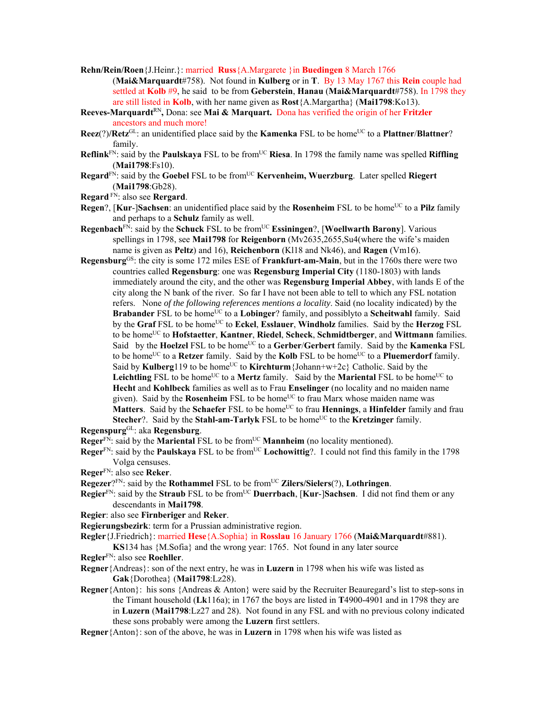- **Rehn/Rein/Roen**{J.Heinr.}: married **Russ**{A.Margarete }in **Buedingen** 8 March 1766 (**Mai&Marquardt**#758). Not found in **Kulberg** or in **T**. By 13 May 1767 this **Rein** couple had settled at **Kolb** #9, he said to be from **Geberstein**, **Hanau** (**Mai&Marquardt**#758). In 1798 they are still listed in **Kolb**, with her name given as **Rost**{A.Margartha} (**Mai1798**:Ko13).
- **Reeves-Marquardt**RN**,** Dona: see **Mai & Marquart.** Dona has verified the origin of her **Fritzler** ancestors and much more!
- **Reez**(?)/**Retz**<sup>GL</sup>: an unidentified place said by the **Kamenka** FSL to be home<sup>UC</sup> to a **Plattner**/**Blattner**? family.
- **Reflink**<sup>FN</sup>: said by the **Paulskaya** FSL to be from<sup>UC</sup> **Riesa**. In 1798 the family name was spelled **Riffling** (**Mai1798**:Fs10).
- **Regard**FN: said by the **Goebel** FSL to be fromUC **Kervenheim, Wuerzburg**. Later spelled **Riegert** (**Mai1798**:Gb28).
- **Regard** FN: also see **Rergard**.
- **Regen**?, [**Kur-**]Sachsen: an unidentified place said by the **Rosenheim** FSL to be home<sup>UC</sup> to a **Pilz** family and perhaps to a **Schulz** family as well.
- **Regenbach**<sup>FN</sup>: said by the **Schuck** FSL to be from<sup>UC</sup> **Essiningen**?, [Woellwarth Barony]. Various spellings in 1798, see **Mai1798** for **Reigenborn** (Mv2635,2655,Su4(where the wife's maiden name is given as **Peltz**) and 16), **Reichenborn** (Kl18 and Nk46), and **Ragen** (Vm16).
- **Regensburg**GS: the city is some 172 miles ESE of **Frankfurt-am-Main**, but in the 1760s there were two countries called **Regensburg**: one was **Regensburg Imperial City** (1180-1803) with lands immediately around the city, and the other was **Regensburg Imperial Abbey**, with lands E of the city along the N bank of the river. So far I have not been able to tell to which any FSL notation refers. None *of the following references mentions a locality*. Said (no locality indicated) by the **Brabander** FSL to be home<sup>UC</sup> to a **Lobinger**? family, and possiblyto a **Scheitwahl** family. Said by the Graf FSL to be home<sup>UC</sup> to Eckel, Esslauer, Windholz families. Said by the Herzog FSL to be homeUC to **Hofstaetter**, **Kantner**, **Riedel**, **Scheck**, **Schmidtberger**, and **Wittmann** families. Said by the **Hoelzel** FSL to be home<sup>UC</sup> to a Gerber/Gerbert family. Said by the **Kamenka** FSL to be home<sup>UC</sup> to a **Retzer** family. Said by the **Kolb** FSL to be home<sup>UC</sup> to a **Pluemerdorf** family. Said by **Kulberg**<sup>119</sup> to be home<sup>UC</sup> to **Kirchturm** {Johann+w+2c} Catholic. Said by the Leichtling FSL to be home<sup>UC</sup> to a **Mertz** family. Said by the **Mariental** FSL to be home<sup>UC</sup> to **Hecht** and **Kohlbeck** families as well as to Frau **Enselinger** (no locality and no maiden name given). Said by the **Rosenheim** FSL to be home<sup>UC</sup> to frau Marx whose maiden name was **Matters**. Said by the **Schaefer** FSL to be home<sup>UC</sup> to frau **Hennings**, a **Hinfelder** family and frau **Stecher**?. Said by the **Stahl-am-Tarlyk** FSL to be home<sup>UC</sup> to the **Kretzinger** family. **Regenspurg**GL: aka **Regensburg**.
- **Reger**<sup>FN</sup>: said by the **Mariental** FSL to be from<sup>UC</sup> **Mannheim** (no locality mentioned).
- **Reger**<sup>FN</sup>: said by the **Paulskaya** FSL to be from<sup>UC</sup> Lochowittig?. I could not find this family in the 1798 Volga censuses.
- **Reger**FN: also see **Reker**.
- **Regezer**?FN: said by the **Rothammel** FSL to be from<sup>UC</sup> **Zilers/Sielers**(?), **Lothringen**.
- **Regier**FN: said by the **Straub** FSL to be fromUC **Duerrbach**, [**Kur**-]**Sachsen**. I did not find them or any descendants in **Mai1798**.
- **Regier**: also see **Firnberiger** and **Reker**.
- **Regierungsbezirk**: term for a Prussian administrative region.
- **Regler**{J.Friedrich}: married **Hese**{A.Sophia} in **Rosslau** 16 January 1766 (**Mai&Marquardt**#881).
- **KS**134 has {M.Sofia} and the wrong year: 1765. Not found in any later source **Regler**FN: also see **Roehller**.
- **Regner**{Andreas}: son of the next entry, he was in **Luzern** in 1798 when his wife was listed as **Gak**{Dorothea} (**Mai1798**:Lz28).
- **Regner**{Anton}: his sons {Andreas & Anton} were said by the Recruiter Beauregard's list to step-sons in the Timant household (**Lk**116a); in 1767 the boys are listed in **T**4900-4901 and in 1798 they are in **Luzern** (**Mai1798**:Lz27 and 28). Not found in any FSL and with no previous colony indicated these sons probably were among the **Luzern** first settlers.
- **Regner**{Anton}: son of the above, he was in **Luzern** in 1798 when his wife was listed as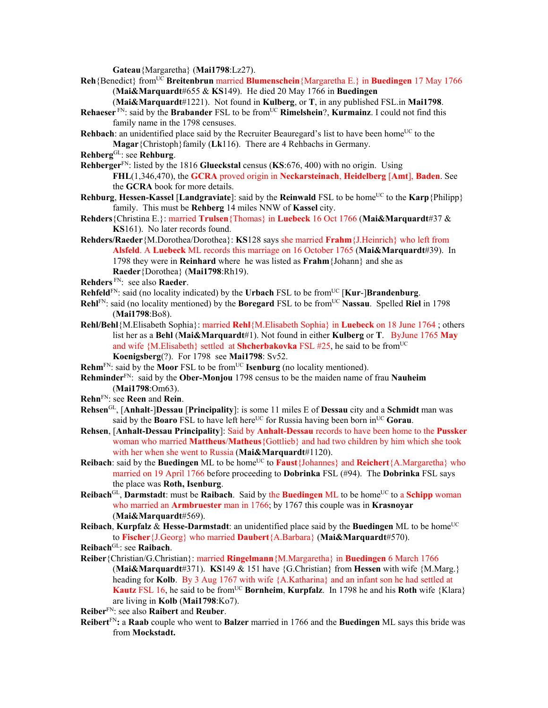**Gateau**{Margaretha} (**Mai1798**:Lz27).

- **Reh**{Benedict} fromUC **Breitenbrun** married **Blumenschein**{Margaretha E.} in **Buedingen** 17 May 1766 (**Mai&Marquardt**#655 & **KS**149). He died 20 May 1766 in **Buedingen** 
	- (**Mai&Marquardt**#1221). Not found in **Kulberg**, or **T**, in any published FSL.in **Mai1798**.
- **Rehaeser** FN: said by the **Brabander** FSL to be from<sup>UC</sup> **Rimelshein**?, **Kurmainz**. I could not find this family name in the 1798 censuses.
- **Rehbach**: an unidentified place said by the Recruiter Beauregard's list to have been home<sup>UC</sup> to the **Magar**{Christoph}family (**Lk**116). There are 4 Rehbachs in Germany.
- **Rehberg**GL: see **Rehburg**.
- **Rehberger**FN: listed by the 1816 **Glueckstal** census (**KS**:676, 400) with no origin. Using **FHL**(1,346,470), the **GCRA** proved origin in **Neckarsteinach**, **Heidelberg** [**Amt**], **Baden**. See the **GCRA** book for more details.
- **Rehburg, Hessen-Kassel [Landgraviate]:** said by the **Reinwald** FSL to be home<sup>UC</sup> to the **Karp**{Philipp} family. This must be **Rehberg** 14 miles NNW of **Kassel** city.
- **Rehders**{Christina E.}: married **Trulsen**{Thomas} in **Luebeck** 16 Oct 1766 (**Mai&Marquardt**#37 & **KS**161). No later records found.
- **Rehders/Raeder**{M.Dorothea/Dorothea}: **KS**128 says she married **Frahm**{J.Heinrich} who left from **Alsfeld**. A **Luebeck** ML records this marriage on 16 October 1765 (**Mai&Marquardt**#39). In 1798 they were in **Reinhard** where he was listed as **Frahm**{Johann} and she as **Raeder**{Dorothea} (**Mai1798**:Rh19).
- **Rehders** FN: see also **Raeder**.
- **Rehfeld**<sup>FN</sup>: said (no locality indicated) by the **Urbach** FSL to be from<sup>UC</sup> [**Kur-**]**Brandenburg**.
- **Rehl**FN: said (no locality mentioned) by the **Boregard** FSL to be fromUC **Nassau**. Spelled **Riel** in 1798 (**Mai1798**:Bo8).
- **Rehl/Behl**{M.Elisabeth Sophia}: married **Rehl**{M.Elisabeth Sophia} in **Luebeck** on 18 June 1764 ; others list her as a **Behl** (**Mai&Marquardt**#1). Not found in either **Kulberg** or **T**. ByJune 1765 **May** and wife {M.Elisabeth} settled at **Shcherbakovka** FSL #25, he said to be from<sup>UC</sup> **Koenigsberg**(?). For 1798 see **Mai1798**: Sv52.
- **Rehm**<sup>FN</sup>: said by the **Moor** FSL to be from<sup>UC</sup> **Isenburg** (no locality mentioned).
- **Rehminder**FN: said by the **Ober-Monjou** 1798 census to be the maiden name of frau **Nauheim** (**Mai1798**:Om63).
- **Rehn**FN: see **Reen** and **Rein**.
- **Rehsen**GL, [**Anhalt**-]**Dessau** [**Principality**]: is some 11 miles E of **Dessau** city and a **Schmidt** man was said by the **Boaro** FSL to have left here<sup>UC</sup> for Russia having been born in<sup>UC</sup> Gorau.
- **Rehsen**, [**Anhalt-Dessau Principality**]: Said by **Anhalt-Dessau** records to have been home to the **Pussker** woman who married **Mattheus**/**Matheus**{Gottlieb} and had two children by him which she took with her when she went to Russia (**Mai&Marquardt**#1120).
- **Reibach**: said by the **Buedingen** ML to be home<sup>UC</sup> to **Faust**{Johannes} and **Reichert**{A.Margaretha} who married on 19 April 1766 before proceeding to **Dobrinka** FSL (#94). The **Dobrinka** FSL says the place was **Roth, Isenburg**.
- **Reibach**<sup>GL</sup>, **Darmstadt**: must be **Raibach**. Said by the **Buedingen** ML to be home<sup>UC</sup> to a **Schipp** woman who married an **Armbruester** man in 1766; by 1767 this couple was in **Krasnoyar** (**Mai&Marquardt**#569).
- **Reibach, Kurpfalz & Hesse-Darmstadt**: an unidentified place said by the **Buedingen** ML to be home<sup>UC</sup> to **Fischer**{J.Georg} who married **Daubert**{A.Barbara} (**Mai&Marquardt**#570).
- **Reibach**GL: see **Raibach**.
- **Reiber**{Christian/G.Christian}: married **Ringelmann**{M.Margaretha} in **Buedingen** 6 March 1766 (**Mai&Marquardt**#371). **KS**149 & 151 have {G.Christian} from **Hessen** with wife {M.Marg.} heading for **Kolb**. By 3 Aug 1767 with wife {A.Katharina} and an infant son he had settled at **Kautz** FSL 16, he said to be from<sup>UC</sup> Bornheim, **Kurpfalz**. In 1798 he and his **Roth** wife {Klara} are living in **Kolb** (**Mai1798**:Ko7).

**Reiber**FN: see also **Raibert** and **Reuber**.

**Reibert**FN**:** a **Raab** couple who went to **Balzer** married in 1766 and the **Buedingen** ML says this bride was from **Mockstadt.**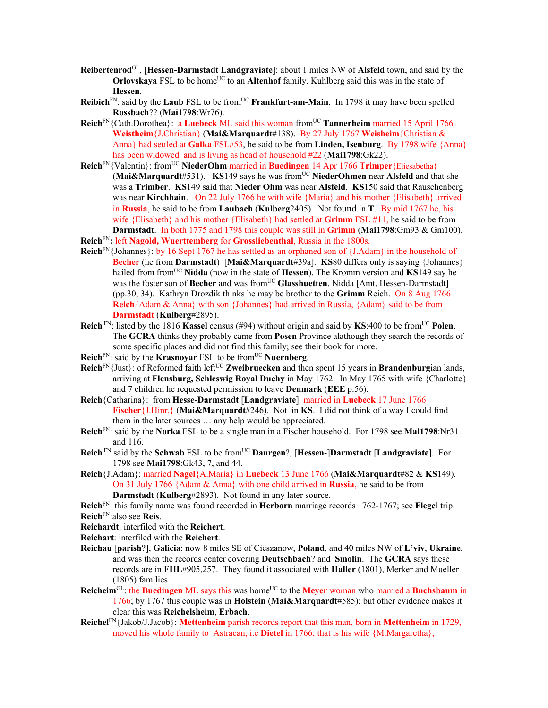- **Reibertenrod**GL, [**Hessen-Darmstadt Landgraviate**]: about 1 miles NW of **Alsfeld** town, and said by the **Orlovskaya** FSL to be home<sup>UC</sup> to an **Altenhof** family. Kuhlberg said this was in the state of **Hessen**.
- **Reibich**<sup>FN</sup>: said by the **Laub** FSL to be from<sup>UC</sup> **Frankfurt-am-Main**. In 1798 it may have been spelled **Rossbach**?? (**Mai1798**:Wr76).
- **Reich**FN{Cath.Dorothea}: a **Luebeck** ML said this woman fromUC **Tannerheim** married 15 April 1766 **Weistheim**{J.Christian} (**Mai&Marquardt**#138). By 27 July 1767 **Weisheim**{Christian & Anna} had settled at **Galka** FSL#53, he said to be from **Linden, Isenburg**. By 1798 wife {Anna} has been widowed and is living as head of household #22 (**Mai1798**:Gk22).
- **Reich**FN{Valentin}: fromUC **NiederOhm** married in **Buedingen** 14 Apr 1766 **Trimper**{Eliesabetha} **(Mai&Marquardt**#531). **KS**149 says he was from<sup>UC</sup> NiederOhmen near Alsfeld and that she was a **Trimber**. **KS**149 said that **Nieder Ohm** was near **Alsfeld**. **KS**150 said that Rauschenberg was near **Kirchhain**. On 22 July 1766 he with wife {Maria} and his mother {Elisabeth} arrived in **Russia**, he said to be from **Laubach** (**Kulberg**2405). Not found in **T**. By mid 1767 he, his wife {Elisabeth} and his mother {Elisabeth} had settled at **Grimm** FSL #11, he said to be from **Darmstadt**. In both 1775 and 1798 this couple was still in **Grimm** (**Mai1798**:Gm93 & Gm100).
- **Reich**FN**:** left **Nagold, Wuerttemberg** for **Grossliebenthal**, Russia in the 1800s.
- **Reich**FN{Johannes}: by 16 Sept 1767 he has settled as an orphaned son of {J.Adam} in the household of **Becher** (he from **Darmstadt**) [**Mai&Marquardt**#39a]. **KS**80 differs only is saying {Johannes} hailed from from<sup>UC</sup> Nidda (now in the state of Hessen). The Kromm version and KS149 say he was the foster son of Becher and was from<sup>UC</sup> Glasshuetten, Nidda [Amt, Hessen-Darmstadt] (pp.30, 34). Kathryn Drozdik thinks he may be brother to the **Grimm** Reich. On 8 Aug 1766 **Reich**{Adam & Anna} with son {Johannes} had arrived in Russia, {Adam} said to be from **Darmstadt** (**Kulberg**#2895).
- **Reich**<sup>FN</sup>: listed by the 1816 **Kassel** census (#94) without origin and said by **KS**:400 to be from<sup>UC</sup> Polen. The **GCRA** thinks they probably came from **Posen** Province alathough they search the records of some specific places and did not find this family; see their book for more.
- **Reich**<sup>FN</sup>: said by the **Krasnoyar** FSL to be from<sup>UC</sup> **Nuernberg**.
- Reich<sup>FN</sup>{Just}: of Reformed faith left<sup>UC</sup> **Zweibruecken** and then spent 15 years in **Brandenburg**ian lands, arriving at **Flensburg, Schleswig Royal Duchy** in May 1762. In May 1765 with wife {Charlotte} and 7 children he requested permission to leave **Denmark** (**EEE** p.56).
- **Reich**{Catharina}: from **Hesse-Darmstadt** [**Landgraviate**] married in **Luebeck** 17 June 1766 **Fischer**{J.Hinr.} (**Mai&Marquardt**#246). Not in **KS**. I did not think of a way I could find them in the later sources … any help would be appreciated.
- **Reich**FN: said by the **Norka** FSL to be a single man in a Fischer household. For 1798 see **Mai1798**:Nr31 and 116.
- **Reich** FN said by the **Schwab** FSL to be fromUC **Daurgen**?, [**Hessen**-]**Darmstadt** [**Landgraviate**]. For 1798 see **Mai1798**:Gk43, 7, and 44.
- **Reich**{J.Adam}: married **Nagel**{A.Maria} in **Luebeck** 13 June 1766 (**Mai&Marquardt**#82 & **KS**149). On 31 July 1766 {Adam & Anna} with one child arrived in **Russia**, he said to be from **Darmstadt** (**Kulberg**#2893). Not found in any later source.
- **Reich**FN: this family name was found recorded in **Herborn** marriage records 1762-1767; see **Flegel** trip. **Reich**FN:also see **Reis**.
- **Reichardt**: interfiled with the **Reichert**.
- **Reichart**: interfiled with the **Reichert**.
- **Reichau** [**parish**?], **Galicia**: now 8 miles SE of Cieszanow, **Poland**, and 40 miles NW of **L'viv**, **Ukraine**, and was then the records center covering **Deutschbach**? and **Smolin**. The **GCRA** says these records are in **FHL**#905,257. They found it associated with **Haller** (1801), Merker and Mueller (1805) families.
- **Reicheim**<sup>GL</sup>: the **Buedingen** ML says this was home<sup>UC</sup> to the **Meyer** woman who married a **Buchsbaum** in 1766; by 1767 this couple was in **Holstein** (**Mai&Marquardt**#585); but other evidence makes it clear this was **Reichelsheim**, **Erbach**.
- **Reichel**FN{Jakob/J.Jacob}: **Mettenheim** parish records report that this man, born in **Mettenheim** in 1729, moved his whole family to Astracan, i.e **Dietel** in 1766; that is his wife {M.Margaretha},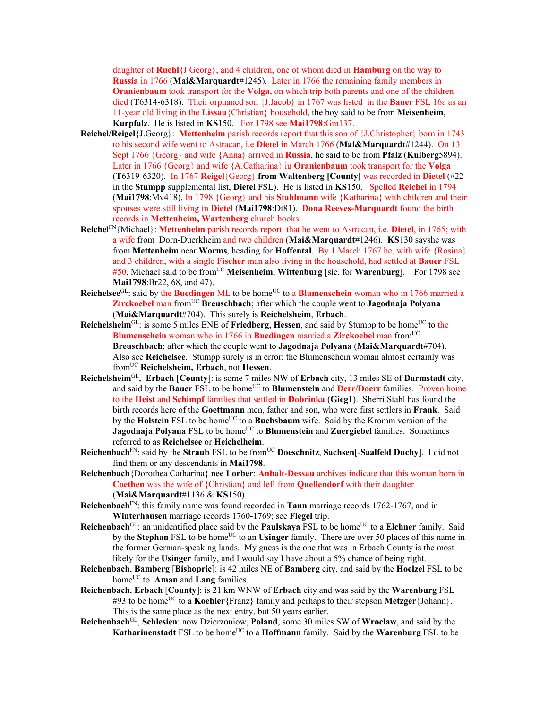daughter of **Ruehl**{J.Georg}, and 4 children, one of whom died in **Hamburg** on the way to **Russia** in 1766 (**Mai&Marquardt**#1245). Later in 1766 the remaining family members in **Oranienbaum** took transport for the **Volga**, on which trip both parents and one of the children died (**T**6314-6318). Their orphaned son {J.Jacob} in 1767 was listed in the **Bauer** FSL 16a as an 11-year old living in the **Lissau**{Christian} household, the boy said to be from **Meisenheim**, **Kurpfalz**. He is listed in **KS**150. For 1798 see **Mai1798**:Gm137.

- **Reichel/Reigel**{J.Georg}: **Mettenheim** parish records report that this son of {J.Christopher} born in 1743 to his second wife went to Astracan, i.e **Dietel** in March 1766 (**Mai&Marquardt**#1244). On 13 Sept 1766 {Georg} and wife {Anna} arrived in **Russia**, he said to be from **Pfalz** (**Kulberg**5894). Later in 1766 {Georg} and wife {A.Catharina} iu **Oranienbaum** took transport for the **Volga**  (**T**6319-6320). In 1767 **Reigel**{Georg} **from Waltenberg [County]** was recorded in **Dietel** (#22 in the **Stumpp** supplemental list, **Dietel** FSL). He is listed in **KS**150. Spelled **Reichel** in 1794 (**Mai1798**:Mv418). In 1798 {Georg} and his **Stahlmann** wife {Katharina} with children and their spouses were still living in **Dietel** (**Mai1798**:Dt81). **Dona Reeves-Marquardt** found the birth records in **Mettenheim, Wartenberg** church books.
- **Reichel**FN{Michael}: **Mettenheim** parish records report that he went to Astracan, i.e. **Dietel**, in 1765; with a wife from Dorn-Duerkheim and two children (**Mai&Marquardt**#1246). **KS**130 sayshe was from **Mettenheim** near **Worms**, heading for **Hoffental**. By 1 March 1767 he, with wife {Rosina} and 3 children, with a single **Fischer** man also living in the household, had settled at **Bauer** FSL #50, Michael said to be fromUC **Meisenheim**, **Wittenburg** [sic. for **Warenburg**].For 1798 see **Mai1798**:Br22, 68, and 47).
- **Reichelsee**<sup>GL</sup>: said by the **Buedingen** ML to be home<sup>UC</sup> to a **Blumenschein** woman who in 1766 married a **Zirckoebel** man from<sup>UC</sup> **Breuschbach**; after which the couple went to **Jagodnaja Polyana** (**Mai&Marquardt**#704). This surely is **Reichelsheim**, **Erbach**.
- **Reichelsheim**GL: is some 5 miles ENE of **Friedberg**, **Hessen**, and said by Stumpp to be home<sup>UC</sup> to the **Blumenschein** woman who in 1766 in **Buedingen** married a **Zirckoebel** man from<sup>UC</sup> **Breuschbach**; after which the couple went to **Jagodnaja Polyana** (**Mai&Marquardt**#704). Also see **Reichelsee**. Stumpp surely is in error; the Blumenschein woman almost certainly was fromUC **Reichelsheim, Erbach**, not **Hessen**.
- **Reichelsheim**GL, **Erbach** [**County**]: is some 7 miles NW of **Erbach** city, 13 miles SE of **Darmstadt** city, and said by the **Bauer** FSL to be home<sup>UC</sup> to **Blumenstein** and **Derr/Doerr** families. Proven home to the **Heist** and **Schimpf** families that settled in **Dobrinka** (**Gieg1**). Sherri Stahl has found the birth records here of the **Goettmann** men, father and son, who were first settlers in **Frank**. Said by the Holstein FSL to be home<sup>UC</sup> to a Buchsbaum wife. Said by the Kromm version of the **Jagodnaja Polyana** FSL to be home<sup>UC</sup> to **Blumenstein** and **Zuergiebel** families. Sometimes referred to as **Reichelsee** or **Heichelheim**.
- **Reichenbach**FN: said by the **Straub** FSL to be fromUC **Doeschnitz**, **Sachsen**[-**Saalfeld Duchy**]. I did not find them or any descendants in **Mai1798**.
- **Reichenbach**{Dorothea Catharina} nee **Lorber**: **Anhalt-Dessau** archives indicate that this woman born in **Coethen** was the wife of {Christian} and left from **Quellendorf** with their daughter (**Mai&Marquardt**#1136 & **KS**150).
- **Reichenbach**FN: this family name was found recorded in **Tann** marriage records 1762-1767, and in **Winterhausen** marriage records 1760-1769; see **Flegel** trip.
- **Reichenbach**<sup>GL</sup>: an unidentified place said by the **Paulskaya** FSL to be home<sup>UC</sup> to a **Elchner** family. Said by the **Stephan** FSL to be home<sup>UC</sup> to an **Usinger** family. There are over 50 places of this name in the former German-speaking lands. My guess is the one that was in Erbach County is the most likely for the **Usinger** family, and I would say I have about a 5% chance of being right.
- **Reichenbach**, **Bamberg** [**Bishopric**]: is 42 miles NE of **Bamberg** city, and said by the **Hoelzel** FSL to be home<sup>UC</sup> to **Aman** and **Lang** families.
- **Reichenbach**, **Erbach** [**County**]: is 21 km WNW of **Erbach** city and was said by the **Warenburg** FSL #93 to be home<sup>UC</sup> to a **Koehler**{Franz} family and perhaps to their stepson **Metzger** {Johann}. This is the same place as the next entry, but 50 years earlier.
- **Reichenbach**GL, **Schlesien**: now Dzierzoniow, **Poland**, some 30 miles SW of **Wroclaw**, and said by the **Katharinenstadt** FSL to be home<sup>UC</sup> to a **Hoffmann** family. Said by the **Warenburg** FSL to be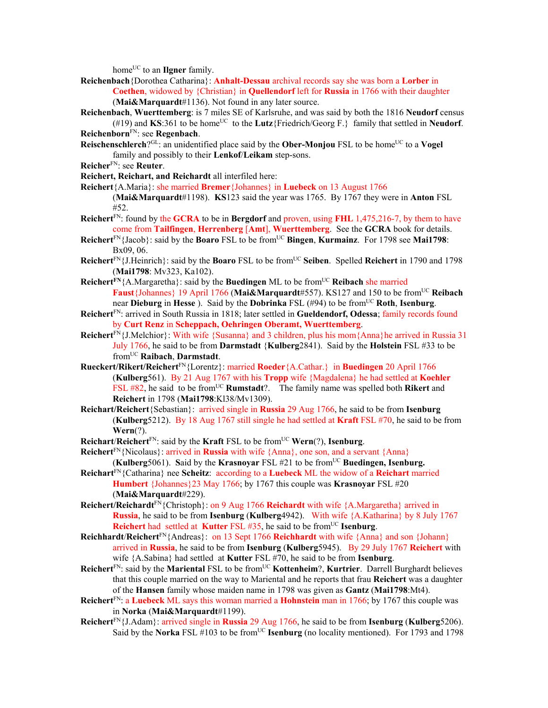home<sup>UC</sup> to an **Ilgner** family.

**Reichenbach**{Dorothea Catharina}: **Anhalt-Dessau** archival records say she was born a **Lorber** in **Coethen**, widowed by {Christian} in **Quellendorf** left for **Russia** in 1766 with their daughter (**Mai&Marquardt**#1136). Not found in any later source.

**Reichenbach**, **Wuerttemberg**: is 7 miles SE of Karlsruhe, and was said by both the 1816 **Neudorf** census (#19) and  $KS:361$  to be home<sup>UC</sup> to the **Lutz**{Friedrich/Georg F.} family that settled in **Neudorf**. **Reichenborn**FN: see **Regenbach**.

**Reischenschlerch**?<sup>GL</sup>: an unidentified place said by the **Ober-Monjou** FSL to be home<sup>UC</sup> to a **Vogel** family and possibly to their **Lenkof**/**Leikam** step-sons.

**Reicher**FN: see **Reuter**.

**Reichert, Reichart, and Reichardt** all interfiled here:

**Reichert**{A.Maria}: she married **Bremer**{Johannes} in **Luebeck** on 13 August 1766

(**Mai&Marquardt**#1198). **KS**123 said the year was 1765. By 1767 they were in **Anton** FSL #52.

**Reichert**FN: found by the **GCRA** to be in **Bergdorf** and proven, using **FHL** 1,475,216-7, by them to have come from **Tailfingen**, **Herrenberg** [**Amt**], **Wuerttemberg**. See the **GCRA** book for details.

**Reichert**FN{Jacob}: said by the **Boaro** FSL to be from<sup>UC</sup> **Bingen**, **Kurmainz**. For 1798 see **Mai1798**: Bx09, 06.

- **Reichert**<sup>FN</sup>{J.Heinrich}: said by the **Boaro** FSL to be from<sup>UC</sup> Seiben. Spelled **Reichert** in 1790 and 1798 (**Mai1798**: Mv323, Ka102).
- **Reichert**<sup>FN</sup>{A.Margaretha}: said by the **Buedingen** ML to be from<sup>UC</sup> **Reibach** she married **Faust**{Johannes} 19 April 1766 (**Mai&Marquardt**#557). KS127 and 150 to be fromUC **Reibach** near **Dieburg** in Hesse). Said by the **Dobrinka** FSL (#94) to be from<sup>UC</sup> Roth, Isenburg.
- **Reichert**FN: arrived in South Russia in 1818; later settled in **Gueldendorf, Odessa**; family records found by **Curt Renz** in **Scheppach, Oehringen Oberamt, Wuerttemberg**.
- **Reichert**<sup>FN</sup>{J.Melchior}: With wife {Susanna} and 3 children, plus his mom{Anna}he arrived in Russia 31 July 1766, he said to be from **Darmstadt** {**Kulberg**2841). Said by the **Holstein** FSL #33 to be fromUC **Raibach**, **Darmstadt**.
- **Rueckert/Rikert/Reichert**FN{Lorentz}: married **Roeder**{A.Cathar.} in **Buedingen** 20 April 1766 (**Kulberg**561). By 21 Aug 1767 with his **Tropp** wife {Magdalena} he had settled at **Koehler** FSL #82, he said to be from<sup>UC</sup> **Rumstadt**?. The family name was spelled both **Rikert** and **Reichert** in 1798 (**Mai1798**:Kl38/Mv1309).
- **Reichart/Reichert**{Sebastian}: arrived single in **Russia** 29 Aug 1766, he said to be from **Isenburg**  (**Kulberg**5212). By 18 Aug 1767 still single he had settled at **Kraft** FSL #70, he said to be from **Wern**(?).

**Reichart**/**Reichert**FN: said by the **Kraft** FSL to be fromUC **Wern**(?), **Isenburg**.

**Reichert**<sup>FN</sup>{Nicolaus}: arrived in **Russia** with wife {Anna}, one son, and a servant {Anna} **(Kulberg**5061). Said by the **Krasnoyar** FSL #21 to be from<sup>UC</sup> Buedingen, Isenburg.

- **Reichart**FN{Catharina} nee **Scheitz**: according to a **Luebeck** ML the widow of a **Reichart** married **Humbert** {Johannes}23 May 1766; by 1767 this couple was **Krasnoyar** FSL #20 (**Mai&Marquardt**#229).
- **Reichert/Reichardt**FN{Christoph}: on 9 Aug 1766 **Reichardt** with wife {A.Margaretha} arrived in **Russia**, he said to be from **Isenburg** (**Kulberg**4942). With wife {A.Katharina} by 8 July 1767 **Reichert** had settled at **Kutter** FSL  $#35$ , he said to be from<sup>UC</sup> **Isenburg**.

**Reichhardt**/**Reichert**FN{Andreas}: on 13 Sept 1766 **Reichhardt** with wife {Anna} and son {Johann} arrived in **Russia**, he said to be from **Isenburg** (**Kulberg**5945). By 29 July 1767 **Reichert** with wife {A.Sabina} had settled at **Kutter** FSL #70, he said to be from **Isenburg**.

**Reichert**<sup>FN</sup>: said by the **Mariental** FSL to be from<sup>UC</sup> **Kottenheim**?, **Kurtrier**. Darrell Burghardt believes that this couple married on the way to Mariental and he reports that frau **Reichert** was a daughter of the **Hansen** family whose maiden name in 1798 was given as **Gantz** (**Mai1798**:Mt4).

- **Reichert**FN: a **Luebeck** ML says this woman married a **Hohnstein** man in 1766; by 1767 this couple was in **Norka** (**Mai&Marquardt**#1199).
- **Reichert**FN{J.Adam}: arrived single in **Russia** 29 Aug 1766, he said to be from **Isenburg** (**Kulberg**5206). Said by the **Norka** FSL #103 to be from<sup>UC</sup> **Isenburg** (no locality mentioned). For 1793 and 1798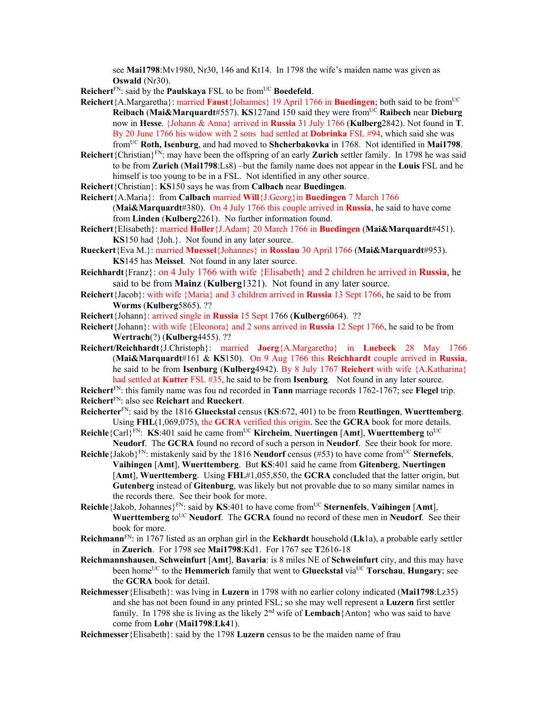see **Mai1798**:Mv1980, Nr30, 146 and Kt14. In 1798 the wife's maiden name was given as **Oswald** (Nr30).

**Reichert**<sup>FN</sup>: said by the **Paulskaya** FSL to be from<sup>UC</sup> **Boedefeld**.

- **Reichert**{A.Margaretha}: married **Faust**{Johannes} 19 April 1766 in **Buedingen**; both said to be fromUC **Reibach** (**Mai&Marquardt**#557). **KS**127and 150 said they were fromUC **Raibech** near **Dieburg** now in **Hesse**. {Johann & Anna} arrived in **Russia** 31 July 1766 (**Kulberg**2842). Not found in **T**. By 20 June 1766 his widow with 2 sons had settled at **Dobrinka** FSL #94, which said she was fromUC **Roth, Isenburg**, and had moved to **Shcherbakovka** in 1768. Not identified in **Mai1798**.
- **Reichert**{Christian}FN: may have been the offspring of an early **Zurich** settler family. In 1798 he was said to be from **Zurich** (**Mai1798**:Ls8) –but the family name does not appear in the **Louis** FSL and he himself is too young to be in a FSL. Not identified in any other source.
- **Reichert**{Christian}: **KS**150 says he was from **Calbach** near **Buedingen**.
- **Reichert**{A.Maria}: from **Calbach** married **Will**{J.Georg}in **Buedingen** 7 March 1766
	- (**Mai&Marquardt**#380). On 4 July 1766 this couple arrived in **Russia**, he said to have come from **Linden** (**Kulberg**2261). No further information found.
- **Reichert**{Elisabeth}: married **Holler**{J.Adam} 20 March 1766 in **Buedingen** (**Mai&Marquardt**#451). **KS**150 had {Joh.}. Not found in any later source.
- **Rueckert**{Eva M.}: married **Muessel**{Johannes} in **Rosslau** 30 April 1766 (**Mai&Marquardt**#953). **KS**145 has **Meissel**. Not found in any later source.
- **Reichhardt**{Franz}: on 4 July 1766 with wife {Elisabeth} and 2 children he arrived in **Russia**, he said to be from **Mainz** (**Kulberg**1321). Not found in any later source.
- **Reichert**{Jacob}: with wife {Maria} and 3 children arrived in **Russia** 13 Sept 1766, he said to be from **Worms** (**Kulberg**5865). ??
- **Reichert**{Johann}: arrived single in **Russia** 15 Sept 1766 (**Kulberg**6064). ??
- **Reichert**{Johann}: with wife {Eleonora} and 2 sons arrived in **Russia** 12 Sept 1766, he said to be from **Wertrach**(?) (**Kulberg**4455). ??
- **Reichert/Reichhardt**{J.Christoph}: married **Joerg**{A.Margaretha} in **Luebeck** 28 May 1766 (**Mai&Marquardt**#161 & **KS**150). On 9 Aug 1766 this **Reichhardt** couple arrived in **Russia**, he said to be from **Isenburg** (**Kulberg**4942). By 8 July 1767 **Reichert** with wife {A.Katharina} had settled at **Kutter** FSL #35, he said to be from **Isenburg**. Not found in any later source.

**Reichert**FN: this family name was fou nd recorded in **Tann** marriage records 1762-1767; see **Flegel** trip. **Reichert**FN: also see **Reichart** and **Rueckert**.

- **Reicherter**FN: said by the 1816 **Glueckstal** census (**KS**:672, 401) to be from **Reutlingen**, **Wuerttemberg**. Using **FHL**(1,069,075), the **GCRA** verified this origin. See the **GCRA** book for more details.
- **Reichle**{Carl}<sup>FN</sup>: **KS**:401 said he came from<sup>UC</sup> **Kircheim**, **Nuertingen** [Amt], **Wuerttemberg** to<sup>UC</sup> **Neudorf**. The **GCRA** found no record of such a person in **Neudorf**. See their book for more.
- **Reichle**{Jakob}<sup>FN</sup>: mistakenly said by the 1816 **Neudorf** census (#53) to have come from<sup>UC</sup> Sternefels, **Vaihingen** [**Amt**], **Wuerttemberg**. But **KS**:401 said he came from **Gitenberg**, **Nuertingen** [**Amt**], **Wuerttemberg**. Using **FHL**#1,055,850, the **GCRA** concluded that the latter origin, but **Gutenberg** instead of **Gitenburg**, was likely but not provable due to so many similar names in the records there. See their book for more.
- **Reichle**{Jakob, Johannes}FN: said by **KS**:401 to have come fromUC **Sternenfels**, **Vaihingen** [**Amt**], **Wuerttemberg** to<sup>UC</sup> **Neudorf**. The **GCRA** found no record of these men in **Neudorf**. See their book for more.
- **Reichmann**FN: in 1767 listed as an orphan girl in the **Eckhardt** household (**Lk**1a), a probable early settler in **Zuerich**. For 1798 see **Mai1798**:Kd1. For 1767 see **T**2616-18
- **Reichmannshausen**, **Schweinfurt** [**Amt**], **Bavaria**: is 8 miles NE of **Schweinfurt** city, and this may have been home<sup>UC</sup> to the **Hemmerich** family that went to **Glueckstal** via<sup>UC</sup> **Torschau**, **Hungary**; see the **GCRA** book for detail.
- **Reichmesser**{Elisabeth}: was lving in **Luzern** in 1798 with no earlier colony indicated (**Mai1798**:Lz35) and she has not been found in any printed FSL; so she may well represent a **Luzern** first settler family. In 1798 she is living as the likely 2<sup>nd</sup> wife of **Lembach**{Anton} who was said to have come from **Lohr** (**Mai1798**:**Lk4**1).
- **Reichmesser**{Elisabeth}: said by the 1798 **Luzern** census to be the maiden name of frau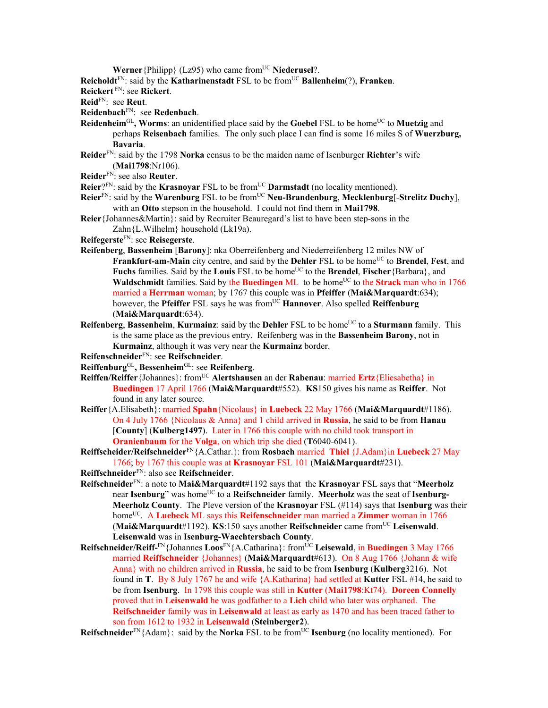**Werner**{Philipp} (Lz95) who came from<sup>UC</sup> **Niederusel**?.

**Reicholdt**<sup>FN</sup>: said by the **Katharinenstadt** FSL to be from<sup>UC</sup> **Ballenheim**(?), **Franken**.

- **Reickert** FN: see **Rickert**.
- **Reid**FN: see **Reut**.
- **Reidenbach**FN: see **Redenbach**.
- **Reidenheim**<sup>GL</sup>, Worms: an unidentified place said by the Goebel FSL to be home<sup>UC</sup> to Muetzig and perhaps **Reisenbach** families. The only such place I can find is some 16 miles S of **Wuerzburg, Bavaria**.
- **Reider**FN: said by the 1798 **Norka** census to be the maiden name of Isenburger **Richter**'s wife (**Mai1798**:Nr106).
- **Reider**FN: see also **Reuter**.
- **Reier**?FN: said by the **Krasnoyar** FSL to be fromUC **Darmstadt** (no locality mentioned).
- **Reier**<sup>FN</sup>: said by the **Warenburg** FSL to be from<sup>UC</sup> **Neu-Brandenburg**, **Mecklenburg**[-Strelitz Duchy], with an **Otto** stepson in the household. I could not find them in **Mai1798**.
- **Reier**{Johannes&Martin}: said by Recruiter Beauregard's list to have been step-sons in the Zahn{L.Wilhelm} household (Lk19a).
- **Reifegerste**FN: see **Reisegerste**.
- **Reifenberg**, **Bassenheim** [**Barony**]: nka Oberreifenberg and Niederreifenberg 12 miles NW of Frankfurt-am-Main city centre, and said by the Dehler FSL to be home<sup>UC</sup> to Brendel, Fest, and **Fuchs** families. Said by the **Louis** FSL to be home<sup>UC</sup> to the **Brendel**, **Fischer**{Barbara}, and **Waldschmidt** families. Said by the **Buedingen** ML to be home<sup>UC</sup> to the **Strack** man who in 1766 married a **Herrman** woman; by 1767 this couple was in **Pfeiffer** (**Mai&Marquardt**:634); however, the **Pfeiffer** FSL says he was from<sup>UC</sup> **Hannover**. Also spelled **Reiffenburg** (**Mai&Marquardt**:634).
- **Reifenberg, Bassenheim, Kurmainz**: said by the **Dehler** FSL to be home<sup>UC</sup> to a **Sturmann** family. This is the same place as the previous entry. Reifenberg was in the **Bassenheim Barony**, not in **Kurmainz**, although it was very near the **Kurmainz** border.
- **Reifenschneider**FN: see **Reifschneider**.
- **Reiffenburg**GL**, Bessenheim**GL: see **Reifenberg**.
- **Reiffen/Reiffer**{Johannes}: fromUC **Alertshausen** an der **Rabenau**: married **Ertz**{Eliesabetha} in **Buedingen** 17 April 1766 (**Mai&Marquardt**#552). **KS**150 gives his name as **Reiffer**.Not found in any later source.
- **Reiffer**{A.Elisabeth}: married **Spahn**{Nicolaus} in **Luebeck** 22 May 1766 (**Mai&Marquardt**#1186). On 4 July 1766 {Nicolaus & Anna} and 1 child arrived in **Russia**, he said to be from **Hanau**  [**County**] (**Kulberg1497**). Later in 1766 this couple with no child took transport in **Oranienbaum** for the **Volga**, on which trip she died (**T**6040-6041).
- **Reiffscheider/Reifschneider**FN{A.Cathar.}: from **Rosbach** married **Thiel** {J.Adam}in **Luebeck** 27 May 1766; by 1767 this couple was at **Krasnoyar** FSL 101 (**Mai&Marquardt**#231).
- **Reiffschneider**FN: also see **Reifschneider**.
- **Reifschneider**FN: a note to **Mai&Marquardt**#1192 says that the **Krasnoyar** FSL says that "**Meerholz** near Isenburg" was home<sup>UC</sup> to a Reifschneider family. Meerholz was the seat of Isenburg-**Meerholz County**. The Pleve version of the **Krasnoyar** FSL (#114) says that **Isenburg** was their home<sup>UC</sup>. A **Luebeck** ML says this **Reifenschneider** man married a **Zimmer** woman in 1766 (**Mai&Marquardt**#1192). **KS**:150 says another **Reifschneider** came fromUC **Leisenwald**. **Leisenwald** was in **Isenburg-Waechtersbach County**.
- **Reifschneider/Reiff-**FN{Johannes **Loos**FN{A.Catharina}: fromUC **Leisewald**, in **Buedingen** 3 May 1766 married **Reiffschneider** {Johannes} (**Mai&Marquardt**#613). On 8 Aug 1766 {Johann & wife Anna} with no children arrived in **Russia**, he said to be from **Isenburg** (**Kulberg**3216). Not found in **T**. By 8 July 1767 he and wife {A.Katharina} had settled at **Kutter** FSL #14, he said to be from **Isenburg**. In 1798 this couple was still in **Kutter** (**Mai1798**:Kt74). **Doreen Connelly**  proved that in **Leisenwald** he was godfather to a **Lich** child who later was orphaned. The **Reifschneider** family was in **Leisenwald** at least as early as 1470 and has been traced father to son from 1612 to 1932 in **Leisenwald** (**Steinberger2**).

**Reifschneider**<sup>FN</sup>{Adam}: said by the **Norka** FSL to be from<sup>UC</sup> **Isenburg** (no locality mentioned). For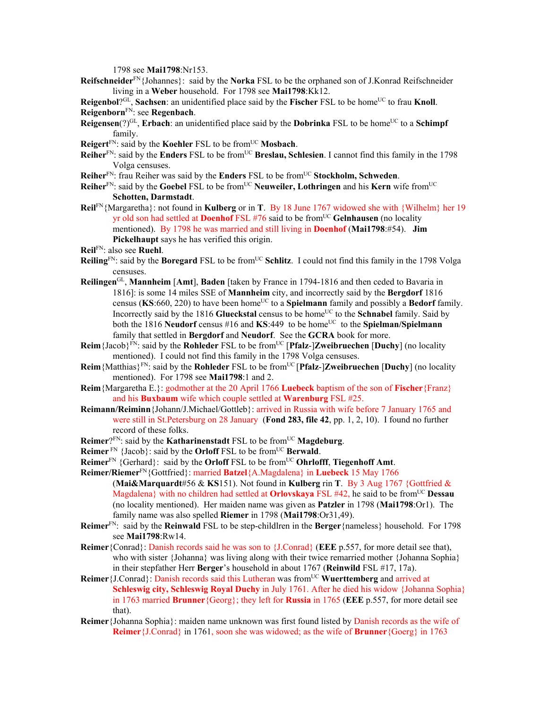1798 see **Mai1798**:Nr153.

**Reifschneider**FN{Johannes}: said by the **Norka** FSL to be the orphaned son of J.Konrad Reifschneider living in a **Weber** household. For 1798 see **Mai1798**:Kk12.

**Reigenbol**?<sup>GL</sup>, **Sachsen**: an unidentified place said by the **Fischer** FSL to be home<sup>UC</sup> to frau **Knoll**. **Reigenborn**FN: see **Regenbach**.

- **Reigensen**(?)<sup>GL</sup>, **Erbach**: an unidentified place said by the **Dobrinka** FSL to be home<sup>UC</sup> to a **Schimpf** family.
- **Reigert**<sup>FN</sup>: said by the **Koehler** FSL to be from<sup>UC</sup> **Mosbach**.
- **Reiher**<sup>FN</sup>: said by the **Enders** FSL to be from<sup>UC</sup> **Breslau, Schlesien**. I cannot find this family in the 1798 Volga censuses.
- **Reiher**FN: frau Reiher was said by the **Enders** FSL to be fromUC **Stockholm, Schweden**.
- **Reiher**FN: said by the **Goebel** FSL to be fromUC **Neuweiler, Lothringen** and his **Kern** wife fromUC **Schotten, Darmstadt**.
- **Reil**FN{Margaretha}: not found in **Kulberg** or in **T**. By 18 June 1767 widowed she with {Wilhelm} her 19 yr old son had settled at **Doenhof** FSL #76 said to be fromUC **Gelnhausen** (no locality mentioned). By 1798 he was married and still living in **Doenhof** (**Mai1798**:#54). **Jim Pickelhaupt** says he has verified this origin.
- **Reil**FN: also see **Ruehl**.
- **Reiling**<sup>FN</sup>: said by the **Boregard** FSL to be from<sup>UC</sup> Schlitz. I could not find this family in the 1798 Volga censuses.
- **Reilingen**GL, **Mannheim** [**Amt**], **Baden** [taken by France in 1794-1816 and then ceded to Bavaria in 1816]: is some 14 miles SSE of **Mannheim** city, and incorrectly said by the **Bergdorf** 1816 census (KS:660, 220) to have been home<sup>UC</sup> to a **Spielmann** family and possibly a **Bedorf** family. Incorrectly said by the 1816 **Glueckstal** census to be home<sup>UC</sup> to the **Schnabel** family. Said by both the 1816 **Neudorf** census #16 and **KS**:449 to be home<sup>UC</sup> to the **Spielman/Spielmann** family that settled in **Bergdorf** and **Neudorf**. See the **GCRA** book for more.
- **Reim**{Jacob}FN: said by the **Rohleder** FSL to be fromUC [**Pfalz**-]**Zweibruechen** [**Duchy**] (no locality mentioned). I could not find this family in the 1798 Volga censuses.
- **Reim**{Matthias}FN: said by the **Rohleder** FSL to be fromUC [**Pfalz**-]**Zweibruechen** [**Duchy**] (no locality mentioned). For 1798 see **Mai1798**:1 and 2.
- **Reim**{Margaretha E.}: godmother at the 20 April 1766 **Luebeck** baptism of the son of **Fischer**{Franz} and his **Buxbaum** wife which couple settled at **Warenburg** FSL #25.
- **Reimann/Reiminn**{Johann/J.Michael/Gottleb}: arrived in Russia with wife before 7 January 1765 and were still in St.Petersburg on 28 January (**Fond 283, file 42**, pp. 1, 2, 10). I found no further record of these folks.
- **Reimer**?FN: said by the **Katharinenstadt** FSL to be from<sup>UC</sup> **Magdeburg**.
- **Reimer**<sup>FN</sup> {Jacob}: said by the **Orloff** FSL to be from<sup>UC</sup> **Berwald**.
- **Reimer**<sup>FN</sup> {Gerhard}: said by the **Orloff** FSL to be from<sup>UC</sup> **Ohrlofff**, **Tiegenhoff** Amt.
- **Reimer/Riemer**FN{Gottfried}: married **Batzel**{A.Magdalena} in **Luebeck** 15 May 1766 (**Mai&Marquardt**#56 & **KS**151). Not found in **Kulberg** rin **T**. By 3 Aug 1767 {Gottfried & Magdalena} with no children had settled at **Orlovskaya** FSL #42, he said to be from<sup>UC</sup> **Dessau** (no locality mentioned).Her maiden name was given as **Patzler** in 1798 (**Mai1798**:Or1). The family name was also spelled **Riemer** in 1798 (**Mai1798**:Or31,49).
- **Reimer**FN: said by the **Reinwald** FSL to be step-childlren in the **Berger**{nameless} household. For 1798 see **Mai1798**:Rw14.
- **Reimer**{Conrad}: Danish records said he was son to {J.Conrad} (**EEE** p.557, for more detail see that), who with sister {Johanna} was living along with their twice remarried mother {Johanna Sophia} in their stepfather Herr **Berger**'s household in about 1767 (**Reinwild** FSL #17, 17a).
- **Reimer** {J.Conrad}: Danish records said this Lutheran was from<sup>UC</sup> Wuerttemberg and arrived at **Schleswig city, Schleswig Royal Duchy** in July 1761. After he died his widow {Johanna Sophia} in 1763 married **Brunner**{Georg}; they left for **Russia** in 1765 (**EEE** p.557, for more detail see that).
- **Reimer**{Johanna Sophia}: maiden name unknown was first found listed by Danish records as the wife of **Reimer**{J.Conrad} in 1761, soon she was widowed; as the wife of **Brunner**{Goerg} in 1763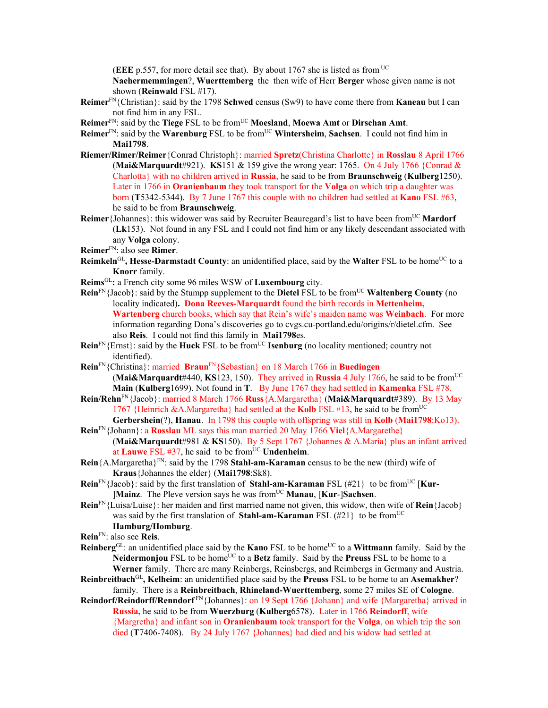(**EEE** p.557, for more detail see that). By about 1767 she is listed as from UC

**Naehermemmingen**?, **Wuerttemberg** the then wife of Herr **Berger** whose given name is not shown (**Reinwald** FSL #17).

- **Reimer**FN{Christian}: said by the 1798 **Schwed** census (Sw9) to have come there from **Kaneau** but I can not find him in any FSL.
- **Reimer**FN: said by the **Tiege** FSL to be fromUC **Moesland**, **Moewa Amt** or **Dirschan Amt**.
- **Reimer**FN: said by the **Warenburg** FSL to be fromUC **Wintersheim**, **Sachsen**. I could not find him in **Mai1798**.
- **Riemer/Rimer/Reimer**{Conrad Christoph}: married **Spretz**(Christina Charlotte} in **Rosslau** 8 April 1766 (**Mai&Marquardt**#921). **KS**151 & 159 give the wrong year: 1765. On 4 July 1766 {Conrad & Charlotta} with no children arrived in **Russia**, he said to be from **Braunschweig** (**Kulberg**1250). Later in 1766 in **Oranienbaum** they took transport for the **Volga** on which trip a daughter was born (**T**5342-5344). By 7 June 1767 this couple with no children had settled at **Kano** FSL #63, he said to be from **Braunschweig**.
- **Reimer** {Johannes}: this widower was said by Recruiter Beauregard's list to have been from<sup>UC</sup> Mardorf (**Lk**153). Not found in any FSL and I could not find him or any likely descendant associated with any **Volga** colony.
- **Reimer**FN: also see **Rimer**.
- **Reimkeln**<sup>GL</sup>, Hesse-Darmstadt County: an unidentified place, said by the Walter FSL to be home<sup>UC</sup> to a **Knorr** family.
- **Reims**GL**:** a French city some 96 miles WSW of **Luxembourg** city.
- **Rein**<sup>FN</sup>{Jacob}: said by the Stumpp supplement to the **Dietel** FSL to be from<sup>UC</sup> **Waltenberg County** (no locality indicated)**. Dona Reeves-Marquardt** found the birth records in **Mettenheim, Wartenberg** church books, which say that Rein's wife's maiden name was **Weinbach**. For more information regarding Dona's discoveries go to cvgs.cu-portland.edu/origins/r/dietel.cfm. See also **Reis**. I could not find this family in **Mai1798**es.
- **Rein**<sup>FN</sup>{Ernst}: said by the **Huck** FSL to be from<sup>UC</sup> **Isenburg** (no locality mentioned; country not identified).
- **Rein**FN{Christina}: married **Braun**FN{Sebastian} on 18 March 1766 in **Buedingen** (Mai&Marquardt#440, KS123, 150). They arrived in Russia 4 July 1766, he said to be from<sup>UC</sup> **Main** (**Kulberg**1699). Not found in **T**. By June 1767 they had settled in **Kamenka** FSL #78.
- **Rein/Rehn**FN{Jacob}: married 8 March 1766 **Russ**{A.Margaretha} (**Mai&Marquardt**#389). By 13 May 1767 {Heinrich  $&A.Margaretha$ } had settled at the **Kolb** FSL #13, he said to be from<sup>UC</sup> **Gerbershein**(?), **Hanau**. In 1798 this couple with offspring was still in **Kolb** (**Mai1798**:Ko13).
- **Rein**FN{Johann}: a **Rosslau** ML says this man married 20 May 1766 **Viel**{A.Margarethe}
- (**Mai&Marquardt**#981 & **KS**150). By 5 Sept 1767 {Johannes & A.Maria} plus an infant arrived at **Lauwe** FSL  $#37$ , he said to be from<sup>UC</sup> **Undenheim**.
- **Rein**{A.Margaretha}FN: said by the 1798 **Stahl-am-Karaman** census to be the new (third) wife of **Kraus**{Johannes the elder} (**Mai1798**:Sk8).
- **Rein**<sup>FN</sup>{Jacob}: said by the first translation of **Stahl-am-Karaman** FSL (#21} to be from<sup>UC</sup> [**Kur**-**[Mainz**. The Pleve version says he was from<sup>UC</sup> **Manau**, [**Kur-**]Sachsen.
- **Rein**FN{Luisa/Luise}: her maiden and first married name not given, this widow, then wife of **Rein**{Jacob} was said by the first translation of **Stahl-am-Karaman** FSL (#21} to be from<sup>UC</sup> **Hamburg/Homburg**.

**Rein**FN: also see **Reis**.

- **Reinberg**<sup>GL</sup>: an unidentified place said by the **Kano** FSL to be home<sup>UC</sup> to a **Wittmann** family. Said by the **Neidermonjou** FSL to be home<sup>UC</sup> to a **Betz** family. Said by the **Preuss** FSL to be home to a **Werner** family. There are many Reinbergs, Reinsbergs, and Reimbergs in Germany and Austria.
- **Reinbreitbach**GL**, Kelheim**: an unidentified place said by the **Preuss** FSL to be home to an **Asemakher**? family. There is a **Reinbreitbach**, **Rhineland-Wuerttemberg**, some 27 miles SE of **Cologne**.
- **Reindorf/Reindorff/Renndorf** FN{Johannes}: on 19 Sept 1766 {Johann} and wife {Margaretha} arrived in **Russia,** he said to be from **Wuerzburg** (**Kulberg**6578). Later in 1766 **Reindorff**, wife {Margretha} and infant son in **Oranienbaum** took transport for the **Volga**, on which trip the son died (**T**7406-7408). By 24 July 1767 {Johannes} had died and his widow had settled at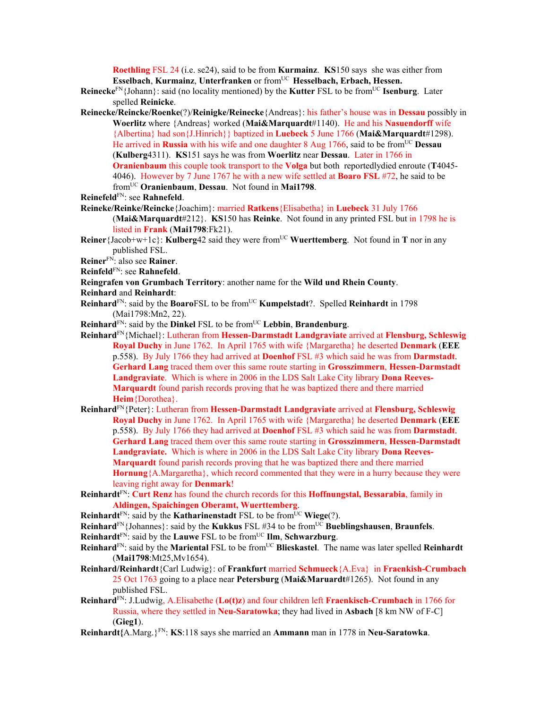**Roethling** FSL 24 (i.e. se24), said to be from **Kurmainz**. **KS**150 says she was either from **Esselbach**, **Kurmainz**, **Unterfranken** or fromUC **Hesselbach, Erbach, Hessen.**

- **Reinecke**<sup>FN</sup>{Johann}: said (no locality mentioned) by the **Kutter** FSL to be from<sup>UC</sup> **Isenburg**. Later spelled **Reinicke**.
- **Reinecke/Reincke/Roenke**(?)/**Reinigke/Reinecke**{Andreas}: his father's house was in **Dessau** possibly in **Woerlitz** where {Andreas} worked (**Mai&Marquardt**#1140). He and his **Nasuendorff** wife {Albertina} had son{J.Hinrich}} baptized in **Luebeck** 5 June 1766 (**Mai&Marquardt**#1298). He arrived in **Russia** with his wife and one daughter 8 Aug 1766, said to be fromUC **Dessau** (**Kulberg**4311). **KS**151 says he was from **Woerlitz** near **Dessau**. Later in 1766 in **Oranienbaum** this couple took transport to the **Volga** but both reportedlydied enroute (**T**4045- 4046). However by 7 June 1767 he with a new wife settled at **Boaro FSL** #72, he said to be fromUC **Oranienbaum**, **Dessau**. Not found in **Mai1798**.
- **Reinefeld**FN: see **Rahnefeld**.
- **Reineke/Reinke/Reincke**{Joachim}: married **Ratkens**{Elisabetha} in **Luebeck** 31 July 1766 (**Mai&Marquardt**#212}. **KS**150 has **Reinke**. Not found in any printed FSL but in 1798 he is listed in **Frank** (**Mai1798**:Fk21).
- **Reiner**{Jacob+w+1c}: **Kulberg**42 said they were from<sup>UC</sup> **Wuerttemberg**. Not found in **T** nor in any published FSL.
- **Reiner**FN: also see **Rainer**.
- **Reinfeld**FN: see **Rahnefeld**.
- **Reingrafen von Grumbach Territory**: another name for the **Wild und Rhein County**.
- **Reinhard** and **Reinhardt**:
- **Reinhard**<sup>FN</sup>: said by the **Boaro**FSL to be from<sup>UC</sup> **Kumpelstadt**?. Spelled **Reinhardt** in 1798 (Mai1798:Mn2, 22).
- **Reinhard**FN: said by the **Dinkel** FSL to be fromUC **Lebbin**, **Brandenburg**.
- **Reinhard**FN{Michael}: Lutheran from **Hessen-Darmstadt Landgraviate** arrived at **Flensburg, Schleswig Royal Duchy** in June 1762. In April 1765 with wife {Margaretha} he deserted **Denmark** (**EEE** p.558). By July 1766 they had arrived at **Doenhof** FSL #3 which said he was from **Darmstadt**. **Gerhard Lang** traced them over this same route starting in **Grosszimmern**, **Hessen-Darmstadt Landgraviate**.Which is where in 2006 in the LDS Salt Lake City library **Dona Reeves-Marquardt** found parish records proving that he was baptized there and there married **Heim**{Dorothea}.
- **Reinhard**FN{Peter}: Lutheran from **Hessen-Darmstadt Landgraviate** arrived at **Flensburg, Schleswig Royal Duchy** in June 1762. In April 1765 with wife {Margaretha} he deserted **Denmark** (**EEE** p.558). By July 1766 they had arrived at **Doenhof** FSL #3 which said he was from **Darmstadt**. **Gerhard Lang** traced them over this same route starting in **Grosszimmern**, **Hessen-Darmstadt Landgraviate.** Which is where in 2006 in the LDS Salt Lake City library **Dona Reeves-Marquardt** found parish records proving that he was baptized there and there married **Hornung**{A.Margaretha}, which record commented that they were in a hurry because they were leaving right away for **Denmark**!
- **Reinhardt**FN: **Curt Renz** has found the church records for this **Hoffnungstal, Bessarabia**, family in **Aldingen, Spaichingen Oberamt, Wuerttemberg**.
- **Reinhardt**<sup>FN</sup>: said by the **Katharinenstadt** FSL to be from<sup>UC</sup> **Wiege**(?).
- **Reinhard**FN{Johannes}: said by the **Kukkus** FSL #34 to be fromUC **Bueblingshausen**, **Braunfels**.
- **Reinhardt**<sup>FN</sup>: said by the **Lauwe** FSL to be from<sup>UC</sup> **IIm**, **Schwarzburg**.
- **Reinhard**<sup>FN</sup>: said by the **Mariental** FSL to be from<sup>UC</sup> **Blieskastel**. The name was later spelled **Reinhardt** (**Mai1798**:Mt25,Mv1654).
- **Reinhard/Reinhardt**{Carl Ludwig}: of **Frankfurt** married **Schmueck**{A.Eva} in **Fraenkish-Crumbach**  25 Oct 1763 going to a place near **Petersburg** (**Mai&Maruardt**#1265). Not found in any published FSL.
- **Reinhard**FN: J.Ludwig, A.Elisabethe (**Lo(t)z**) and four children left **Fraenkisch-Crumbach** in 1766 for Russia, where they settled in **Neu-Saratowka**; they had lived in **Asbach** [8 km NW of F-C] (**Gieg1**).
- **Reinhardt{**A.Marg.}FN: **KS**:118 says she married an **Ammann** man in 1778 in **Neu-Saratowka**.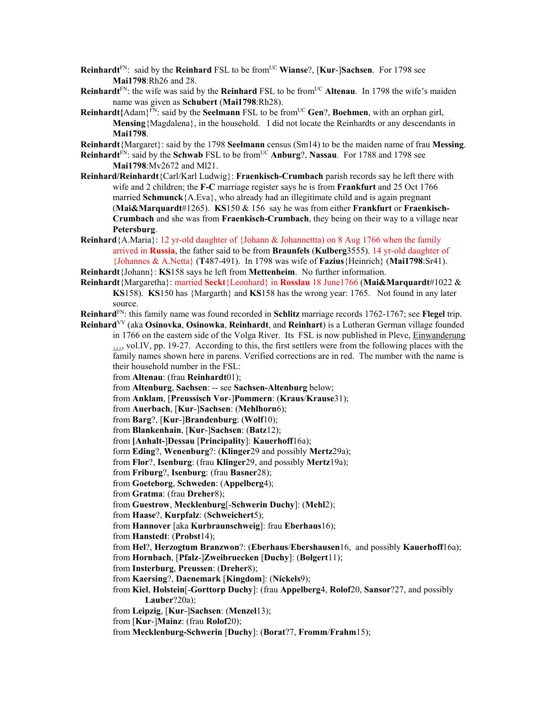**Reinhardt**<sup>FN</sup>: said by the **Reinhard** FSL to be from<sup>UC</sup> **Wianse**?, [**Kur-**]Sachsen. For 1798 see **Mai1798**:Rh26 and 28.

- **Reinhardt**<sup>FN</sup>: the wife was said by the **Reinhard** FSL to be from<sup>UC</sup> **Altenau**. In 1798 the wife's maiden name was given as **Schubert** (**Mai1798**:Rh28).
- **Reinhardt**{Adam}<sup>FN</sup>: said by the **Seelmann** FSL to be from<sup>UC</sup> **Gen**?, **Boehmen**, with an orphan girl, **Mensing**{Magdalena}, in the household. I did not locate the Reinhardts or any descendants in **Mai1798**.

**Reinhardt**{Margaret}: said by the 1798 **Seelmann** census (Sm14) to be the maiden name of frau **Messing**.

**Reinhardt**<sup>EN</sup>: said by the **Schwab** FSL to be from<sup>UC</sup> **Anburg**?, **Nassau**. For 1788 and 1798 see **Mai1798**:Mv2672 and Ml21.

- **Reinhard/Reinhardt**{Carl/Karl Ludwig}: **Fraenkisch-Crumbach** parish records say he left there with wife and 2 children; the **F-C** marriage register says he is from **Frankfurt** and 25 Oct 1766 married **Schmunck**{A.Eva}, who already had an illegitimate child and is again pregnant (**Mai&Marquardt**#1265). **KS**150 & 156 say he was from either **Frankfurt** or **Fraenkisch-Crumbach** and she was from **Fraenkisch-Crumbach**, they being on their way to a village near **Petersburg**.
- **Reinhard**{A.Maria}: 12 yr-old daughter of {Johann & Johannettta) on 8 Aug 1766 when the family arrived in **Russia**, the father said to be from **Braunfels** (**Kulberg**3555). 14 yr-old daughter of {Johannes & A.Netta} (**T**487-491). In 1798 was wife of **Fazius**{Heinrich} (**Mai1798**:Sr41).

**Reinhardt**{Johann}: **KS**158 says he left from **Mettenheim**. No further information.

**Reinhardt**{Margaretha}: married **Seckt**{Leonhard} in **Rosslau** 18 June1766 (**Mai&Marquardt**#1022 & **KS**158). **KS**150 has {Margarth} and **KS**158 has the wrong year: 1765. Not found in any later source.

**Reinhard**FN: this family name was found recorded in **Schlitz** marriage records 1762-1767; see **Flegel** trip.

**Reinhard**VV (aka **Osinovka**, **Osinowka**, **Reinhardt**, and **Reinhart**) is a Lutheran German village founded in 1766 on the eastern side of the Volga River. Its FSL is now published in Pleve, Einwanderung ..., vol.IV, pp. 19-27. According to this, the first settlers were from the following places with the family names shown here in parens. Verified corrections are in red. The number with the name is their household number in the FSL:

from **Altenau**: (frau **Reinhardt**01);

from **Altenburg**, **Sachsen**: -- see **Sachsen-Altenburg** below;

from **Anklam**, [**Preussisch Vor**-]**Pommern**: (**Kraus**/**Krause**31);

from **Auerbach**, [**Kur**-]**Sachsen**: (**Mehlhorn**6);

from **Barg**?, [**Kur**-]**Brandenburg**: (**Wolf**10);

from **Blankenhain**, [**Kur**-]**Sachsen**: (**Batz**12);

from **[Anhalt-**]**Dessau** [**Principality**]: **Kauerhoff**16a);

form **Eding**?, **Wenenburg**?: (**Klinger**29 and possibly **Mertz**29a);

from **Flor**?, **Isenburg**: (frau **Klinger**29, and possibly **Mertz**19a);

from **Friburg**?, **Isenburg**: (frau **Basner**28);

from **Goeteborg**, **Schweden**: (**Appelberg**4);

from **Gratma**: (frau **Dreher**8);

from **Guestrow**, **Mecklenburg**[-**Schwerin Duchy**]: (**Mehl**2);

from **Haase**?, **Kurpfalz**: (**Schweichert**5);

from **Hannover** [aka **Kurbraunschweig**]: frau **Eberhaus**16);

from **Hanstedt**: (**Probst**14);

from **Hel**?, **Herzogtum Branzwon**?: (**Eberhaus**/**Ebershausen**16, and possibly **Kauerhoff**16a);

from **Hornbach**, [**Pfalz**-]**Zweibruecken** [**Duchy**]: (**Bolgert**11);

from **Insterburg**, **Preussen**: (**Dreher**8);

from **Kaersing**?, **Daenemark** [**Kingdom**]: (**Nickels**9);

from **Kiel**, **Holstein**[-**Gorttorp Duchy**]: (frau **Appelberg**4, **Rolof**20, **Sansor**?27, and possibly **Lauber**?20a);

from **Leipzig**, [**Kur**-]**Sachsen**: (**Menzel**13);

from [**Kur**-]**Mainz**: (frau **Rolof**20);

from **Mecklenburg-Schwerin** [**Duchy**]: (**Borat**?7, **Fromm**/**Frahm**15);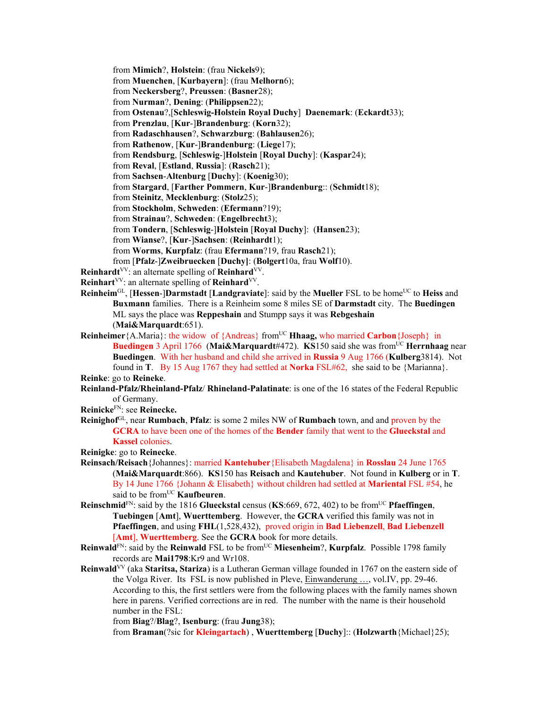from **Mimich**?, **Holstein**: (frau **Nickels**9);

from **Muenchen**, [**Kurbayern**]: (frau **Melhorn**6);

from **Neckersberg**?, **Preussen**: (**Basner**28);

from **Nurman**?, **Dening**: (**Philippsen**22);

from **Ostenau**?,[**Schleswig-Holstein Royal Duchy**] **Daenemark**: (**Eckardt**33);

from **Prenzlau**, [**Kur**-]**Brandenburg**: (**Korn**32);

from **Radaschhausen**?, **Schwarzburg**: (**Bahlausen**26);

from **Rathenow**, [**Kur**-]**Brandenburg**: (**Liege**17);

from **Rendsburg**, [**Schleswig**-]**Holstein** [**Royal Duchy**]: (**Kaspar**24);

from **Reval**, [**Estland**, **Russia**]: (**Rasch**21);

from **Sachsen**-**Altenburg** [**Duchy**]: (**Koenig**30);

from **Stargard**, [**Farther Pommern**, **Kur**-]**Brandenburg**:: (**Schmidt**18);

from **Steinitz**, **Mecklenburg**: (**Stolz**25);

from **Stockholm**, **Schweden**: (**Efermann**?19);

from **Strainau**?, **Schweden**: (**Engelbrecht**3);

from **Tondern**, [**Schleswig**-]**Holstein** [**Royal Duchy**]: (**Hansen**23);

from **Wianse**?, [**Kur**-]**Sachsen**: (**Reinhardt**1);

from **Worms**, **Kurpfalz**: (frau **Efermann**?19, frau **Rasch**21);

from [**Pfalz**-]**Zweibruecken** [**Duchy]**: (**Bolgert**10a, frau **Wolf**10).

**Reinhardt**<sup>VV</sup>: an alternate spelling of **Reinhard**<sup>VV</sup>.

**Reinhart**VV: an alternate spelling of **Reinhard**VV.

**Reinheim**<sup>GL</sup>, [Hessen-]Darmstadt [Landgraviate]: said by the Mueller FSL to be home<sup>UC</sup> to Heiss and **Buxmann** families. There is a Reinheim some 8 miles SE of **Darmstadt** city. The **Buedingen** ML says the place was **Reppeshain** and Stumpp says it was **Rebgeshain** (**Mai&Marquardt**:651).

**Reinheimer** {A.Maria}: the widow of {Andreas} from<sup>UC</sup> **Hhaag,** who married **Carbon** {Joseph} in **Buedingen 3 April 1766 (Mai&Marquardt#472). <b>KS**150 said she was from<sup>UC</sup> Herrnhaag near **Buedingen**. With her husband and child she arrived in **Russia** 9 Aug 1766 (**Kulberg**3814). Not found in **T**. By 15 Aug 1767 they had settled at **Norka** FSL#62, she said to be {Marianna}.

**Reinke**: go to **Reineke**.

**Reinland-Pfalz/Rheinland-Pfalz**/ **Rhineland-Palatinate**: is one of the 16 states of the Federal Republic of Germany.

**Reinicke**FN: see **Reinecke.** 

**Reinighof**GL, near **Rumbach**, **Pfalz**: is some 2 miles NW of **Rumbach** town, and and proven by the **GCRA** to have been one of the homes of the **Bender** family that went to the **Glueckstal** and **Kassel** colonies.

**Reinigke**: go to **Reinecke**.

- **Reinsach/Reisach**{Johannes}: married **Kantehuber**{Elisabeth Magdalena} in **Rosslau** 24 June 1765 (**Mai&Marquardt**:866). **KS**150 has **Reisach** and **Kautehuber**. Not found in **Kulberg** or in **T**. By 14 June 1766 {Johann & Elisabeth} without children had settled at **Mariental** FSL #54, he said to be from<sup>UC</sup> **Kaufbeuren**.
- **Reinschmid**FN: said by the 1816 **Glueckstal** census (**KS**:669, 672, 402) to be fromUC **Pfaeffingen**, **Tuebingen** [**Amt**], **Wuerttemberg**. However, the **GCRA** verified this family was not in **Pfaeffingen**, and using **FHL**(1,528,432), proved origin in **Bad Liebenzell**, **Bad Liebenzell** [**Amt**], **Wuerttemberg**. See the **GCRA** book for more details.
- **Reinwald**<sup>FN</sup>: said by the **Reinwald** FSL to be from<sup>UC</sup> Miesenheim?, **Kurpfalz**. Possible 1798 family records are **Mai1798**:Kr9 and Wr108.
- **Reinwald**VV (aka **Staritsa, Stariza**) is a Lutheran German village founded in 1767 on the eastern side of the Volga River. Its FSL is now published in Pleve, Einwanderung …, vol.IV, pp. 29-46. According to this, the first settlers were from the following places with the family names shown here in parens. Verified corrections are in red. The number with the name is their household number in the FSL:

from **Biag**?/**Blag**?, **Isenburg**: (frau **Jung**38);

from **Braman**(?sic for **Kleingartach**) , **Wuerttemberg** [**Duchy**]:: (**Holzwarth**{Michael}25);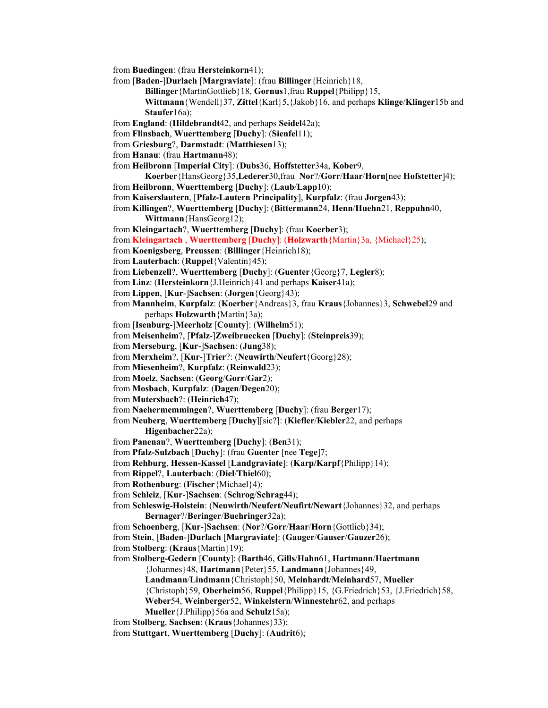from **Buedingen**: (frau **Hersteinkorn**41);

from [**Baden**-]**Durlach** [**Margraviate**]: (frau **Billinger**{Heinrich}18,

**Billinger**{MartinGottlieb}18, **Gornus**1,frau **Ruppel**{Philipp}15,

**Wittmann**{Wendell}37, **Zittel**{Karl}5,{Jakob}16, and perhaps **Klinge**/**Klinger**15b and **Staufer**16a);

from **England**: (**Hildebrandt**42, and perhaps **Seidel**42a);

from **Flinsbach**, **Wuerttemberg** [**Duchy**]: (**Sienfel**11);

from **Griesburg**?, **Darmstadt**: (**Matthiesen**13);

from **Hanau**: (frau **Hartmann**48);

from **Heilbronn** [**Imperial City**]: (**Dubs**36, **Hoffstetter**34a, **Kober**9,

**Koerber**{HansGeorg}35,**Lederer**30,frau **Nor**?/**Gorr**/**Haar**/**Horn**[nee **Hofstetter**]4);

from **Heilbronn**, **Wuerttemberg** [**Duchy**]: (**Laub**/**Lapp**10);

from **Kaiserslautern**, [**Pfalz-Lautern Principality**], **Kurpfalz**: (frau **Jorgen**43);

from **Killingen**?, **Wuerttemberg** [**Duchy**]: (**Bittermann**24, **Henn**/**Huehn**21, **Reppuhn**40, **Wittmann**{HansGeorg12);

from **Kleingartach**?, **Wuerttemberg** [**Duchy**]: (frau **Koerber**3);

from **Kleingartach** , **Wuerttemberg** [**Duchy**]: (**Holzwarth**{Martin}3a, {Michael}25);

from **Koenigsberg**, **Preussen**: (**Billinger**{Heinrich18);

from **Lauterbach**: (**Ruppel**{Valentin}45);

from **Liebenzell**?, **Wuerttemberg** [**Duchy**]: (**Guenter**{Georg}7, **Legler**8);

from **Linz**: (**Hersteinkorn**{J.Heinrich}41 and perhaps **Kaiser**41a);

from **Lippen**, [**Kur**-]**Sachsen**: (**Jorgen**{Georg}43);

from **Mannheim**, **Kurpfalz**: (**Koerber**{Andreas}3, frau **Kraus**{Johannes}3, **Schwebel**29 and perhaps **Holzwarth**{Martin}3a);

from [**Isenburg**-]**Meerholz** [**County**]: (**Wilhelm**51);

from **Meisenheim**?, [**Pfalz**-]**Zweibruecken** [**Duchy**]: (**Steinpreis**39);

from **Merseburg**, [**Kur**-]**Sachsen**: (**Jung**38);

from **Merxheim**?, [**Kur**-]**Trier**?: (**Neuwirth**/**Neufert**{Georg}28);

from **Miesenheim**?, **Kurpfalz**: (**Reinwald**23);

from **Moelz**, **Sachsen**: (**Georg**/**Gorr**/**Gar**2);

from **Mosbach**, **Kurpfalz**: (**Dagen**/**Degen**20);

from **Mutersbach**?: (**Heinrich**47);

from **Naehermemmingen**?, **Wuerttemberg** [**Duchy**]: (frau **Berger**17);

from **Neuberg**, **Wuerttemberg** [**Duchy**][sic?]: (**Kiefler**/**Kiebler**22, and perhaps **Higenbacher**22a);

from **Panenau**?, **Wuerttemberg** [**Duchy**]: (**Ben**31);

from **Pfalz-Sulzbach** [**Duchy**]: (frau **Guenter** [nee **Tege**]7;

from **Rehburg**, **Hessen-Kassel** [**Landgraviate**]: (**Karp/Karpf**{Philipp}14);

from **Rippel**?, **Lauterbach**: (**Diel**/**Thiel**60);

from **Rothenburg**: (**Fischer**{Michael}4);

from **Schleiz**, [**Kur**-]**Sachsen**: (**Schrog**/**Schrag**44);

from **Schleswig-Holstein**: (**Neuwirth/Neufert/Neufirt/Newart**{Johannes}32, and perhaps **Bernager**?/**Beringer**/**Buehringer**32a);

from **Schoenberg**, [**Kur**-]**Sachsen**: (**Nor**?/**Gorr**/**Haar**/**Horn**{Gottlieb}34);

from **Stein**, [**Baden**-]**Durlach** [**Margraviate**]: (**Gauger**/**Gauser**/**Gauzer**26);

from **Stolberg**: (**Kraus**{Martin}19);

from **Stolberg-Gedern** [**County**]: (**Barth**46, **Gills**/**Hahn**61, **Hartmann**/**Haertmann** 

{Johannes}48, **Hartmann**{Peter}55, **Landmann**{Johannes}49,

**Landmann**/**Lindmann**{Christoph}50, **Meinhardt**/**Meinhard**57, **Mueller** 

{Christoph}59, **Oberheim**56, **Ruppel**{Philipp}15, {G.Friedrich}53, {J.Friedrich}58,

**Weber**54, **Weinberger**52, **Winkelstern**/**Winnestehr**62, and perhaps

**Mueller**{J.Philipp}56a and **Schulz**15a);

from **Stolberg**, **Sachsen**: (**Kraus**{Johannes}33);

from **Stuttgart**, **Wuerttemberg** [**Duchy**]: (**Audrit**6);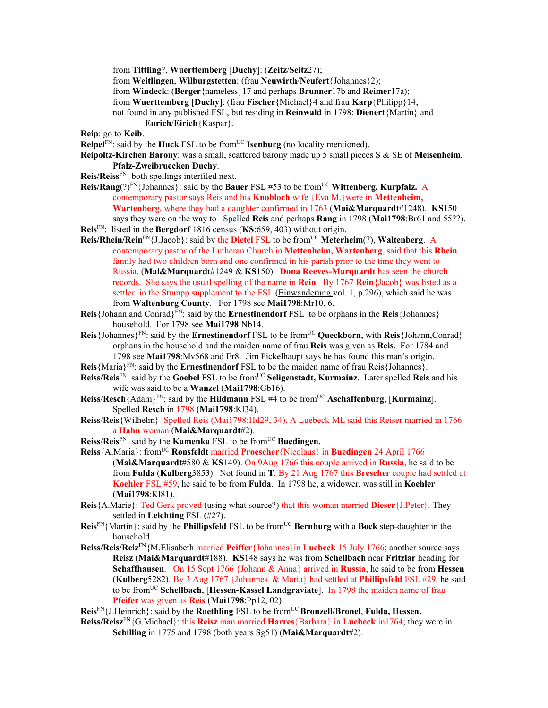from **Tittling**?, **Wuerttemberg** [**Duchy**]: (**Zeitz**/**Seitz**27);

from **Weitlingen**, **Wilburgstetten**: (frau **Neuwirth**/**Neufert**{Johannes}2);

from **Windeck**: (**Berger**{nameless}17 and perhaps **Brunner**17b and **Reimer**17a);

from **Wuerttemberg** [**Duchy**]: (frau **Fischer**{Michael}4 and frau **Karp**{Philipp}14;

not found in any published FSL, but residing in **Reinwald** in 1798: **Dienert**{Martin} and

**Eurich**/**Eirich**{Kaspar}.

**Reip**: go to **Keib**.

**Reipel<sup>FN</sup>: said by the <b>Huck** FSL to be from<sup>UC</sup> **Isenburg** (no locality mentioned).

- **Reipoltz-Kirchen Barony**: was a small, scattered barony made up 5 small pieces S & SE of **Meisenheim**, **Pfalz-Zweibruecken Duchy**.
- **Reis/Reiss**FN: both spellings interfiled next.
- **Reis/Rang**(?)<sup>FN</sup>{Johannes}: said by the **Bauer** FSL #53 to be from<sup>UC</sup> **Wittenberg, Kurpfalz.** A contemporary pastor says Reis and his **Knobloch** wife {Eva M.}were in **Mettenheim, Wartenberg**, where they had a daughter confirmed in 1763 (**Mai&Marquardt**#1248). **KS**150 says they were on the way to Spelled **Reis** and perhaps **Rang** in 1798 (**Mai1798**:Br61 and 55??).
- **Reis**FN: listed in the **Bergdorf** 1816 census (**KS**:659, 403) without origin.
- **Reis/Rhein/Rein**FN{J.Jacob}: said by the **Dietel** FSL to be fromUC **Meterheim**(?), **Waltenberg**. A contemporary pastor of the Lutheran Church in **Mettenheim, Wartenberg**, said that this **Rhein** family had two children born and one confirmed in his parish prior to the time they went to Russia. (**Mai&Marquardt**#1249 & **KS**150). **Dona Reeves-Marquardt** has seen the church records. She says the usual spelling of the name in **Rein**. By 1767 **Rein**{Jacob} was listed as a settler in the Stumpp supplement to the FSL (Einwanderung vol. 1, p.296), which said he was from **Waltenburg County**. For 1798 see **Mai1798**:Mr10, 6.
- **Reis**{Johann and Conrad}FN: said by the **Ernestinendorf** FSL to be orphans in the **Reis**{Johannes} household. For 1798 see **Mai1798**:Nb14.
- **Reis**{Johannes}<sup>FN</sup>: said by the **Ernestinendorf** FSL to be from<sup>UC</sup> **Queckborn**, with **Reis**{Johann,Conrad} orphans in the household and the maiden name of frau **Reis** was given as **Reis**. For 1784 and 1798 see **Mai1798**:Mv568 and Er8. Jim Pickelhaupt says he has found this man's origin.
- **Reis**{Maria}FN: said by the **Ernestinendorf** FSL to be the maiden name of frau Reis{Johannes}.
- **Reiss/Reis**FN: said by the **Goebel** FSL to be fromUC **Seligenstadt, Kurmainz**. Later spelled **Reis** and his wife was said to be a **Wanzel** (**Mai1798**:Gb16).
- **Reiss/Resch**{Adam}<sup>FN</sup>: said by the **Hildmann** FSL #4 to be from<sup>UC</sup> **Aschaffenburg**, [**Kurmainz**]. Spelled **Resch** in 1798 (**Mai1798**:Kl34).
- **Reiss**/**Reis**{Wilhelm} Spelled Reis (Mai1798:Hd29, 34). A Luebeck ML said this Reiser married in 1766 a **Hahn** woman (**Mai&Marquardt**#2).
- **Reiss**/**Reis**FN: said by the **Kamenka** FSL to be fromUC **Buedingen.**
- **Reiss**{A.Maria}: fromUC **Ronsfeldt** married **Proescher**{Nicolaus} in **Buedingen** 24 April 1766 (**Mai&Marquardt**#580 & **KS**149). On 9Aug 1766 this couple arrived in **Russia**, he said to be from **Fulda** (**Kulberg**3853). Not found in **T**. By 21 Aug 1767 this **Brescher** couple had settled at **Koehler** FSL #59, he said to be from **Fulda**. In 1798 he, a widower, was still in **Koehler**  (**Mai1798**:Kl81).
- **Reis**{A.Marie}: Ted Gerk proved (using what source?) that this woman married **Dieser**{J.Peter}. They settled in **Leichting** FSL (#27).
- **Reis**FN{Martin}: said by the **Phillipsfeld** FSL to be fromUC **Bernburg** with a **Bock** step-daughter in the household.
- **Reiss/Reis/Reiz**FN{M.Elisabeth married **Peiffer**{Johannes}in **Luebeck** 15 July 1766; another source says **Reisz** (**Mai&Marquardt**#188). **KS**148 says he was from **Schellbach** near **Fritzlar** heading for **Schaffhausen**. On 15 Sept 1766 {Johann & Anna} arrived in **Russia**, he said to be from **Hessen** (**Kulberg**5282). By 3 Aug 1767 {Johannes & Maria} had settled at **Phillipsfeld** FSL #29, he said to be fromUC **Schellbach**, [**Hessen-Kassel Landgraviate**]. In 1798 the maiden name of frau **Pfeifer** was given as **Reis** (**Mai1798**:Pp12, 02).

**Reis**FN{J.Heinrich}: said by the **Roethling** FSL to be fromUC **Bronzell/Bronel**, **Fulda, Hessen.** 

**Reiss/Reisz**FN{G.Michael}: this **Reisz** man married **Harres**{Barbara} in **Luebeck** in1764; they were in **Schilling** in 1775 and 1798 (both years Sg51) (**Mai&Marquardt**#2).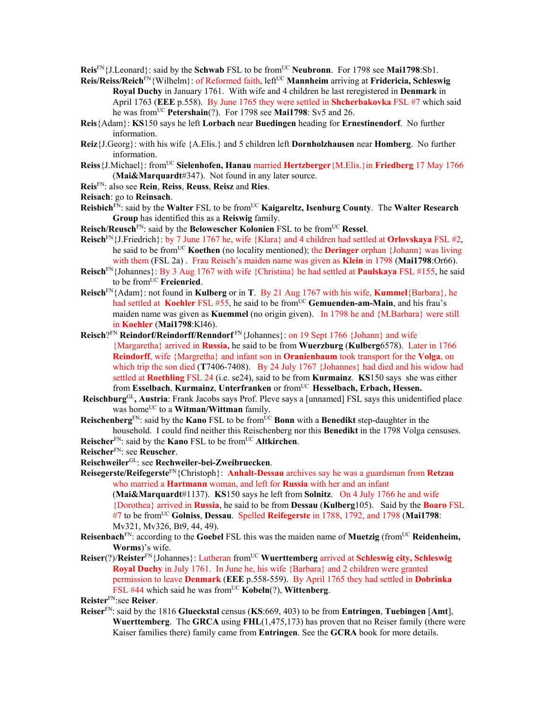**Reis**<sup>FN</sup>{J.Leonard}: said by the **Schwab** FSL to be from<sup>UC</sup> **Neubronn**. For 1798 see **Mai1798**:Sb1.

- **Reis/Reiss/Reich**<sup>FN</sup>{Wilhelm}: of Reformed faith, left<sup>UC</sup> **Mannheim** arriving at **Fridericia**, Schleswig **Royal Duchy** in January 1761. With wife and 4 children he last reregistered in **Denmark** in April 1763 (**EEE** p.558). By June 1765 they were settled in **Shcherbakovka** FSL #7 which said he was fromUC **Petershain**(?). For 1798 see **Mai1798**: Sv5 and 26.
- **Reis**{Adam}: **KS**150 says he left **Lorbach** near **Buedingen** heading for **Ernestinendorf**. No further information.
- **Reiz**{J.Georg}: with his wife {A.Elis.} and 5 children left **Dornholzhausen** near **Homberg**. No further information.
- **Reiss**{J.Michael}: fromUC **Sielenhofen, Hanau** married **Hertzberger**{M.Elis.}in **Friedberg** 17 May 1766 (**Mai&Marquardt**#347). Not found in any later source.
- **Reis**FN: also see **Rein**, **Reiss**, **Reuss**, **Reisz** and **Ries**.
- **Reisach**: go to **Reinsach**.
- **Reisbich**FN: said by the **Walter** FSL to be fromUC **Kaigareltz, Isenburg County**. The **Walter Research Group** has identified this as a **Reiswig** family.
- **Reisch/Reusch<sup>FN</sup>: said by the <b>Belowescher Kolonien** FSL to be from<sup>UC</sup> **Ressel**.
- **Reisch**FN{J.Friedrich}: by 7 June 1767 he, wife {Klara} and 4 children had settled at **Orlovskaya** FSL #2, he said to be fromUC **Koethen** (no locality mentioned); the **Deringer** orphan {Johann} was living with them (FSL 2a) .Frau Reisch's maiden name was given as **Klein** in 1798 (**Mai1798**:Or66).
- **Reisch**FN{Johannes}: By 3 Aug 1767 with wife {Christina} he had settled at **Paulskaya** FSL #155, he said to be fromUC **Freienried**.
- **Reisch**FN{Adam}: not found in **Kulberg** or in **T**. By 21 Aug 1767 with his wife, **Kummel**{Barbara}, he had settled at **Koehler** FSL #55, he said to be from<sup>UC</sup> Gemuenden-am-Main, and his frau's maiden name was given as **Kuemmel** (no origin given). In 1798 he and {M.Barbara} were still in **Koehler** (**Mai1798**:Kl46).
- **Reisch**?FN **Reindorf/Reindorff/Renndorf** FN{Johannes}: on 19 Sept 1766 {Johann} and wife {Margaretha} arrived in **Russia,** he said to be from **Wuerzburg** (**Kulberg**6578). Later in 1766 **Reindorff**, wife {Margretha} and infant son in **Oranienbaum** took transport for the **Volga**, on which trip the son died (**T**7406-7408). By 24 July 1767 {Johannes} had died and his widow had settled at **Roethling** FSL 24 (i.e. se24), said to be from **Kurmainz**. **KS**150 says she was either from Esselbach, Kurmainz, Unterfranken or from<sup>UC</sup> Hesselbach, Erbach, Hessen.
- Reischburg<sup>GL</sup>, Austria: Frank Jacobs says Prof. Pleve says a [unnamed] FSL says this unidentified place was home<sup>UC</sup> to a **Witman/Wittman** family.
- **Reischenberg**FN: said by the **Kano** FSL to be fromUC **Bonn** with a **Benedikt** step-daughter in the household. I could find neither this Reischenberg nor this **Benedikt** in the 1798 Volga censuses.
- **Reischer**FN: said by the **Kano** FSL to be fromUC **Altkirchen**.
- **Reischer**FN: see **Reuscher**.
- **Reischweiler**GL: see **Rechweiler-bei-Zweibruecken**.
- **Reisegerste/Reifegerste**FN{Christoph}: **Anhalt-Dessau** archives say he was a guardsman from **Retzau**  who married a **Hartmann** woman, and left for **Russia** with her and an infant

(**Mai&Marquardt**#1137). **KS**150 says he left from **Solnitz**.On 4 July 1766 he and wife {Dorothea} arrived in **Russia**, he said to be from **Dessau** (**Kulberg**105). Said by the **Boaro** FSL #7 to be fromUC **Golniss**, **Dessau**. Spelled **Reifegerste** in 1788, 1792, and 1798 (**Mai1798**: Mv321, Mv326, Bt9, 44, 49).

- **Reisenbach**<sup>FN</sup>: according to the **Goebel** FSL this was the maiden name of **Muetzig** (from<sup>UC</sup> **Reidenheim, Worms**)'s wife.
- **Reiser**(?)/**Reister**<sup>FN</sup>{Johannes}: Lutheran from<sup>UC</sup> Wuerttemberg arrived at Schleswig city, Schleswig **Royal Duchy** in July 1761. In June he, his wife {Barbara} and 2 children were granted permission to leave **Denmark** (**EEE** p.558-559). By April 1765 they had settled in **Dobrinka** FSL #44 which said he was from<sup>UC</sup> Kobeln(?), Wittenberg.

**Reister**FN:see **Reiser**.

**Reiser**FN: said by the 1816 **Glueckstal** census (**KS**:669, 403) to be from **Entringen**, **Tuebingen** [**Amt**], **Wuerttemberg**. The **GRCA** using **FHL**(1,475,173) has proven that no Reiser family (there were Kaiser families there) family came from **Entringen**. See the **GCRA** book for more details.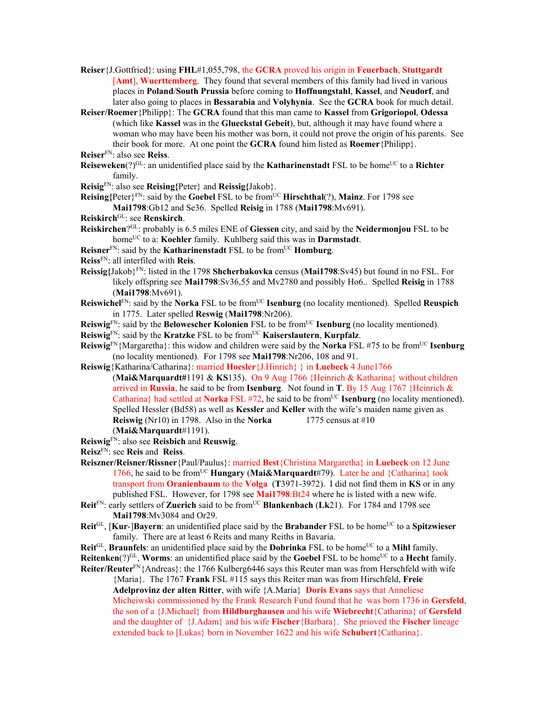- **Reiser**{J.Gottfried}: using **FHL**#1,055,798, the **GCRA** proved his origin in **Feuerbach**, **Stuttgardt** [**Amt**], **Wuerttemberg**. They found that several members of this family had lived in various places in **Poland**/**South Prussia** before coming to **Hoffnungstahl**, **Kassel**, and **Neudorf**, and later also going to places in **Bessarabia** and **Volyhynia**. See the **GCRA** book for much detail.
- **Reiser/Roemer**{Philipp}: The **GCRA** found that this man came to **Kassel** from **Grigoriopol**, **Odessa**  (which like **Kassel** was in the **Glueckstal Gebeit**), but, although it may have found where a woman who may have been his mother was born, it could not prove the origin of his parents. See their book for more. At one point the **GCRA** found him listed as **Roemer**{Philipp}.
- **Reiser**FN: also see **Reiss**.
- **Reiseweken**(?)<sup>GL</sup>: an unidentified place said by the **Katharinenstadt** FSL to be home<sup>UC</sup> to a **Richter** family.
- **Reisig**FN: also see **Reising{**Peter} and **Reissig{**Jakob}.
- **Reising{**Peter}FN: said by the **Goebel** FSL to be fromUC **Hirschthal**(?), **Mainz**. For 1798 see **Mai1798**:Gb12 and Se36. Spelled **Reisig** in 1788 (**Mai1798**:Mv691).
- **Reiskirch**GL: see **Renskirch**.
- **Reiskirchen**?GL: probably is 6.5 miles ENE of **Giessen** city, and said by the **Neidermonjou** FSL to be home<sup>UC</sup> to a: **Koehler** family. Kuhlberg said this was in **Darmstadt**.
- **Reisner**FN: said by the **Katharinenstadt** FSL to be fromUC **Homburg**.
- **Reiss**FN: all interfiled with **Reis**.
- **Reissig{**Jakob}FN: listed in the 1798 **Shcherbakovka** census (**Mai1798**:Sv45) but found in no FSL. For likely offspring see **Mai1798**:Sv36,55 and Mv2780 and possibly Ho6.. Spelled **Reisig** in 1788 (**Mai1798**:Mv691).
- **Reiswichel**FN: said by the **Norka** FSL to be fromUC **Isenburg** (no locality mentioned). Spelled **Reuspich** in 1775. Later spelled **Reswig** (**Mai1798**:Nr206).
- **Reiswig**<sup>FN</sup>: said by the **Belowescher Kolonien** FSL to be from<sup>UC</sup> **Isenburg** (no locality mentioned).
- **Reiswig**<sup>FN</sup>: said by the **Kratzke** FSL to be from<sup>UC</sup> **Kaiserslautern**, **Kurpfalz**.
- **Reiswig**FN{Margaretha}: this widow and children were said by the **Norka** FSL #75 to be fromUC **Isenburg**  (no locality mentioned). For 1798 see **Mai1798**:Nr206, 108 and 91.
- **Reiswig**{Katharina/Catharina}: married **Hoesler**{J.Hinrich} } in **Luebeck** 4 June1766
	- (**Mai&Marquardt#**1191 & **KS**135). On 9 Aug 1766 {Heinrich & Katharina} without children arrived in **Russia**, he said to be from **Isenburg**. Not found in **T**. By 15 Aug 1767 {Heinrich & Catharina} had settled at **Norka** FSL #72, he said to be from<sup>UC</sup> **Isenburg** (no locality mentioned). Spelled Hessler (Bd58) as well as **Kessler** and **Keller** with the wife's maiden name given as **Reiswig** (Nr10) in 1798. Also in the **Norka** 1775 census at  $\#10$ (**Mai&Marquardt**#1191).
- **Reiswig**FN: also see **Reisbich** and **Reuswig**.
- **Reisz**FN: see **Reis** and **Reiss**.
- **Reiszner/Reisner/Rissner**{Paul/Paulus}: married **Best**{Christina Margaretha} in **Luebeck** on 12 June 1766, he said to be fromUC **Hungary** (**Mai&Marquardt**#79). Later he and {Catharina} took transport from **Oranienbaum** to the **Volga** (**T**3971-3972). I did not find them in **KS** or in any published FSL. However, for 1798 see **Mai1798**:Bt24 where he is listed with a new wife.
- **Reit**<sup>FN</sup>: early settlers of **Zuerich** said to be from<sup>UC</sup> **Blankenbach** (Lk21). For 1784 and 1798 see **Mai1798**:Mv3084 and Or29.
- **Reit**<sup>GL</sup>, [**Kur-**]**Bayern**: an unidentified place said by the **Brabander** FSL to be home<sup>UC</sup> to a **Spitzwieser** family. There are at least 6 Reits and many Reiths in Bavaria.
- **Reit**<sup>GL</sup>, **Braunfels**: an unidentified place said by the **Dobrinka** FSL to be home<sup>UC</sup> to a **Mihl** family.
- **Reitenken**(?)<sup>GL</sup>, **Worms**: an unidentified place said by the **Goebel** FSL to be home<sup>UC</sup> to a **Hecht** family.
- **Reiter/Reuter**FN{Andreas}: the 1766 Kulberg6446 says this Reuter man was from Herschfeld with wife {Maria}. The 1767 **Frank** FSL #115 says this Reiter man was from Hirschfeld, **Freie Adelprovinz der alten Ritter**, with wife {A.Maria} **Doris Evans** says that Anneliese Micheiwski commissioned by the Frank Research Fund found that he was born 1736 in **Gersfeld**, the son of a {J.Michael} from **Hildburghausen** and his wife **Wiebrecht**{Catharina} of **Gersfeld** and the daughter of {J.Adam} and his wife **Fischer**{Barbara}. She prioved the **Fischer** lineage extended back to [Lukas} born in November 1622 and his wife **Schubert**{Catharina}.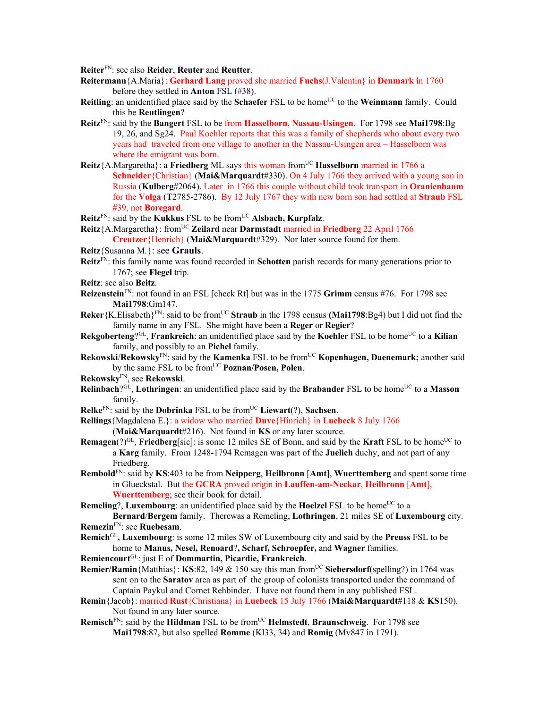**Reiter**FN: see also **Reider**, **Reuter** and **Reutter**.

- **Reitermann**{A.Maria}: **Gerhard Lang** proved she married **Fuchs**(J.Valentin} in **Denmark i**n 1760 before they settled in **Anton** FSL (#38).
- **Reitling**: an unidentified place said by the **Schaefer** FSL to be home<sup>UC</sup> to the **Weinmann** family. Could this be **Reutlingen**?
- **Reitz**FN: said by the **Bangert** FSL to be from **Hasselborn**, **Nassau-Usingen**. For 1798 see **Mai1798**:Bg 19, 26, and Sg24. Paul Koehler reports that this was a family of shepherds who about every two years had traveled from one village to another in the Nassau-Usingen area – Hasselborn was where the emigrant was born.
- **Reitz**{A.Margaretha}: a **Friedberg** ML says this woman from<sup>UC</sup> **Hasselborn** married in 1766 a **Schneider**{Christian} (**Mai&Marquardt**#330). On 4 July 1766 they arrived with a young son in Russia (**Kulberg**#2064). Later in 1766 this couple without child took transport in **Oranienbaum** for the **Volga** (**T**2785-2786). By 12 July 1767 they with new born son had settled at **Straub** FSL #39, not **Boregard**.
- **Reitz**<sup>FN</sup>: said by the **Kukkus** FSL to be from<sup>UC</sup> Alsbach, **Kurpfalz**.
- **Reitz**{A.Margaretha}: from<sup>UC</sup> **Zeilard** near **Darmstadt** married in **Friedberg** 22 April 1766

**Creutzer**{Henrich} (**Mai&Marquardt**#329). Nor later source found for them.

- **Reitz**{Susanna M.}: see **Grauls**.
- **Reitz**FN: this family name was found recorded in **Schotten** parish records for many generations prior to 1767; see **Flegel** trip.
- **Reitz**: see also **Beitz**.
- **Reizenstein**FN: not found in an FSL [check Rt] but was in the 1775 **Grimm** census #76. For 1798 see **Mai1798**:Gm147.
- **Reker**{K.Elisabeth}<sup>FN</sup>: said to be from<sup>UC</sup> **Straub** in the 1798 census **(Mai1798**:Bg4) but I did not find the family name in any FSL. She might have been a **Reger** or **Regier**?
- **Rekgoberteng**?<sup>GL</sup>, **Frankreich**: an unidentified place said by the **Koehler** FSL to be home<sup>UC</sup> to a **Kilian** family, and possibly to an **Pichel** family.
- **Rekowski/Rekowsky<sup>FN</sup>: said by the <b>Kamenka** FSL to be from<sup>UC</sup> **Kopenhagen, Daenemark;** another said by the same FSL to be from<sup>UC</sup> **Poznan/Posen, Polen**.
- **Rekowsky**FN, see **Rekowski**.
- **Relinbach**?GL, **Lothringen**: an unidentified place said by the **Brabander** FSL to be home<sup>UC</sup> to a **Masson** family.
- **Relke**FN: said by the **Dobrinka** FSL to be fromUC **Liewart**(?), **Sachsen**.
- **Rellings**{Magdalena E.}: a widow who married **Duve**{Hinrich} in **Luebeck** 8 July 1766 (**Mai&Marquardt**#216). Not found in **KS** or any later scource.
- **Remagen** $(?)^{GL}$ , **Friedberg**[sic]: is some 12 miles SE of Bonn, and said by the **Kraft** FSL to be home<sup>UC</sup> to a **Karg** family. From 1248-1794 Remagen was part of the **Juelich** duchy, and not part of any Friedberg.
- **Rembold**FN: said by **KS**:403 to be from **Neipperg**, **Heilbronn** [**Amt**], **Wuerttemberg** and spent some time in Glueckstal. But the **GCRA** proved origin in **Lauffen-am-Neckar**, **Heilbronn** [**Amt**], **Wuerttemberg**; see their book for detail.

**Remeling**?, **Luxembourg**: an unidentified place said by the **Hoelzel** FSL to be home<sup>UC</sup> to a **Bernard**/**Bergem** family. Therewas a Remeling, **Lothringen**, 21 miles SE of **Luxembourg** city.

- **Remezin**FN: see **Ruebesam**.
- **Remich**GL**, Luxembourg**: is some 12 miles SW of Luxembourg city and said by the **Preuss** FSL to be home to **Manus, Nesel, Renoard**?**, Scharf, Schroepfer,** and **Wagner** families.
- **Remiencourt**GL: just E of **Dommartin, Picardie, Frankreich**.
- **Remier/Ramin** {Matthias}: **KS**:82, 149 & 150 say this man from<sup>UC</sup> Siebersdorf(spelling?) in 1764 was sent on to the **Saratov** area as part of the group of colonists transported under the command of Captain Paykul and Cornet Rehbinder. I have not found them in any published FSL.
- **Remin**{Jacob}: married **Rust**{Christiana} in **Luebeck** 15 July 1766 (**Mai&Marquardt**#118 & **KS**150). Not found in any later source.
- **Remisch**FN: said by the **Hildman** FSL to be fromUC **Helmstedt**, **Braunschweig**. For 1798 see **Mai1798**:87, but also spelled **Romme** (Kl33, 34) and **Romig** (Mv847 in 1791).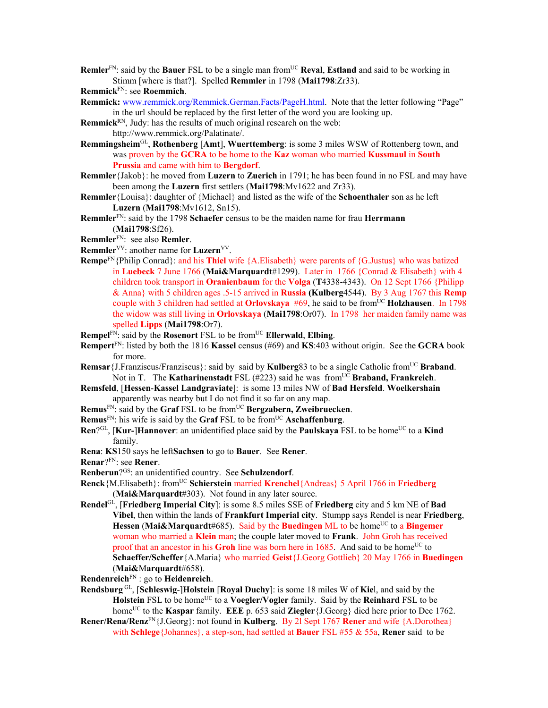**Remler**<sup>FN</sup>: said by the **Bauer** FSL to be a single man from<sup>UC</sup> **Reval**, **Estland** and said to be working in Stimm [where is that?]. Spelled **Remmler** in 1798 (**Mai1798**:Zr33).

**Remmick**FN: see **Roemmich**.

- **Remmick:** www.remmick.org/Remmick.German.Facts/PageH.html. Note that the letter following "Page" in the url should be replaced by the first letter of the word you are looking up.
- **Remmick**<sup>RN</sup>, Judy: has the results of much original research on the web: http://www.remmick.org/Palatinate/.
- **Remmingsheim**GL, **Rothenberg** [**Amt**], **Wuerttemberg**: is some 3 miles WSW of Rottenberg town, and was proven by the **GCRA** to be home to the **Kaz** woman who married **Kussmaul** in **South Prussia** and came with him to **Bergdorf**.
- **Remmler**{Jakob}: he moved from **Luzern** to **Zuerich** in 1791; he has been found in no FSL and may have been among the **Luzern** first settlers (**Mai1798**:Mv1622 and Zr33).
- **Remmler**{Louisa}: daughter of {Michael} and listed as the wife of the **Schoenthaler** son as he left **Luzern** (**Mai1798**:Mv1612, Sn15).
- **Remmler**FN: said by the 1798 **Schaefer** census to be the maiden name for frau **Herrmann** (**Mai1798**:Sf26).
- **Remmler**FN: see also **Remler**.
- **Remmler**VV: another name for **Luzern**VV.
- **Rempe**FN{Philip Conrad}: and his **Thiel** wife {A.Elisabeth} were parents of {G.Justus} who was batized in **Luebeck** 7 June 1766 (**Mai&Marquardt**#1299). Later in 1766 {Conrad & Elisabeth} with 4 children took transport in **Oranienbaum** for the **Volga** (**T**4338-4343). On 12 Sept 1766 {Philipp & Anna} with 5 children ages .5-15 arrived in **Russia (Kulberg**4544). By 3 Aug 1767 this **Remp**  couple with 3 children had settled at **Orlovskaya** #69, he said to be from<sup>UC</sup> **Holzhausen**. In 1798 the widow was still living in **Orlovskaya** (**Mai1798**:Or07). In 1798 her maiden family name was spelled **Lipps** (**Mai1798**:Or7).
- **Rempel<sup>FN</sup>: said by the <b>Rosenort** FSL to be from<sup>UC</sup> **Ellerwald**, **Elbing**.
- **Rempert**FN: listed by both the 1816 **Kassel** census (#69) and **KS**:403 without origin. See the **GCRA** book for more.
- **Remsar** {J.Franziscus/Franziscus}: said by said by **Kulberg**83 to be a single Catholic from<sup>UC</sup> **Braband**. Not in **T**. The **Katharinenstadt** FSL (#223) said he was from<sup>UC</sup> **Braband, Frankreich**.
- **Remsfeld**, [**Hessen**-**Kassel Landgraviate**]: is some 13 miles NW of **Bad Hersfeld**. **Woelkershain** apparently was nearby but I do not find it so far on any map.
- **Remus**FN: said by the **Graf** FSL to be fromUC **Bergzabern, Zweibruecken**.
- **Remus**FN: his wife is said by the **Graf** FSL to be fromUC **Aschaffenburg**.
- **Ren**?<sup>GL</sup>, [**Kur-**]**Hannover**: an unidentified place said by the **Paulskaya** FSL to be home<sup>UC</sup> to a **Kind** family.
- **Rena**: **KS**150 says he left**Sachsen** to go to **Bauer**. See **Rener**.

**Renar**?FN: see **Rener**.

- **Renberun**?GS: an unidentified country. See **Schulzendorf**.
- **Renck**{M.Elisabeth}: fromUC **Schierstein** married **Krenchel**{Andreas} 5 April 1766 in **Friedberg**  (**Mai&Marquardt**#303). Not found in any later source.
- **Rendel**GL, [**Friedberg Imperial City**]: is some 8.5 miles SSE of **Friedberg** city and 5 km NE of **Bad Vibel**, then within the lands of **Frankfurt Imperial city**. Stumpp says Rendel is near **Friedberg**, **Hessen** (Mai&Marquardt#685). Said by the **Buedingen** ML to be home<sup>UC</sup> to a **Bingemer** woman who married a **Klein** man; the couple later moved to **Frank**. John Groh has received proof that an ancestor in his **Groh** line was born here in 1685. And said to be home<sup>UC</sup> to **Schaeffer/Scheffer**{A.Maria} who married **Geist**{J.Georg Gottlieb} 20 May 1766 in **Buedingen** (**Mai&**M**arquardt**#658).
- **Rendenreich**FN : go to **Heidenreich**.
- **Rendsburg** GL, [**Schleswig**-]**Holstein** [**Royal Duchy**]: is some 18 miles W of **Kie**l, and said by the Holstein FSL to be home<sup>UC</sup> to a **Voegler/Vogler** family. Said by the **Reinhard** FSL to be homeUC to the **Kaspar** family. **EEE** p. 653 said **Ziegler**{J.Georg} died here prior to Dec 1762.
- **Rener/Rena/Renz**FN{J.Georg}: not found in **Kulberg**. By 2l Sept 1767 **Rener** and wife {A.Dorothea} with **Schlege**{Johannes}, a step-son, had settled at **Bauer** FSL #55 & 55a, **Rener** said to be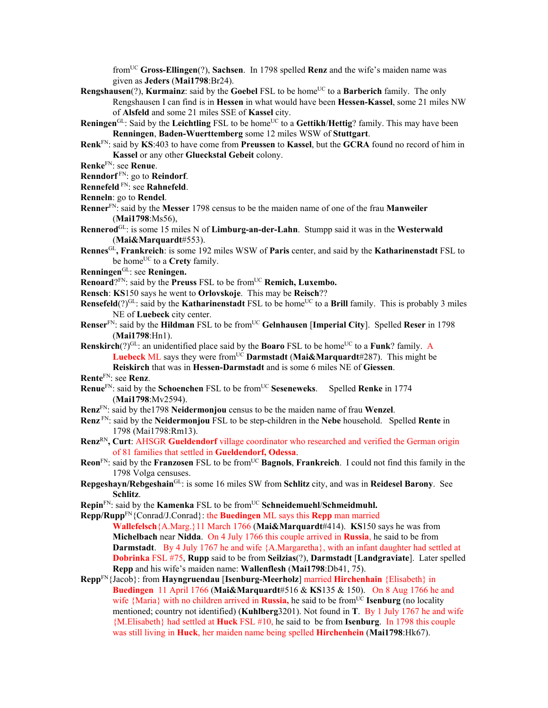fromUC **Gross-Ellingen**(?), **Sachsen**. In 1798 spelled **Renz** and the wife's maiden name was given as **Jeders** (**Mai1798**:Br24).

- **Rengshausen**(?), **Kurmainz**: said by the **Goebel** FSL to be home<sup>UC</sup> to a **Barberich** family. The only Rengshausen I can find is in **Hessen** in what would have been **Hessen-Kassel**, some 21 miles NW of **Alsfeld** and some 21 miles SSE of **Kassel** city.
- **Reningen**GL: Said by the **Leichtling** FSL to be home<sup>UC</sup> to a Gettikh/Hettig? family. This may have been **Renningen**, **Baden-Wuerttemberg** some 12 miles WSW of **Stuttgart**.
- **Renk**FN: said by **KS**:403 to have come from **Preussen** to **Kassel**, but the **GCRA** found no record of him in **Kassel** or any other **Glueckstal Gebeit** colony.
- **Renke**FN: see **Renue**.

**Renndorf** FN: go to **Reindorf**.

**Rennefeld** FN: see **Rahnefeld**.

- **Renneln**: go to **Rendel**.
- **Renner**FN: said by the **Messer** 1798 census to be the maiden name of one of the frau **Manweiler** (**Mai1798**:Ms56),
- **Rennerod**GL: is some 15 miles N of **Limburg-an-der-Lahn**. Stumpp said it was in the **Westerwald**  (**Mai&Marquardt**#553).
- **Rennes**GL**, Frankreich**: is some 192 miles WSW of **Paris** center, and said by the **Katharinenstadt** FSL to be home<sup>UC</sup> to a **Crety** family.
- **Renningen**GL: see **Reningen.**
- **Renoard**?FN: said by the **Preuss** FSL to be from<sup>UC</sup> **Remich, Luxembo.**
- **Rensch**: **KS**150 says he went to **Orlovskoje**. This may be **Reisch**??
- **Rensefeld**(?)<sup>GL</sup>: said by the **Katharinenstadt** FSL to be home<sup>UC</sup> to a **Brill** family. This is probably 3 miles NE of **Luebeck** city center.
- **Renser**<sup>FN</sup>: said by the **Hildman** FSL to be from<sup>UC</sup> Gelnhausen [Imperial City]. Spelled Reser in 1798 (**Mai1798**:Hn1).
- **Renskirch**(?)<sup>GL</sup>: an unidentified place said by the **Boaro** FSL to be home<sup>UC</sup> to a **Funk**? family. A **Luebeck ML** says they were from<sup>UC</sup> **Darmstadt** (Mai&Marquardt#287). This might be **Reiskirch** that was in **Hessen-Darmstadt** and is some 6 miles NE of **Giessen**.

**Rente**FN: see **Renz**.

- **Renue**FN: said by the **Schoenchen** FSL to be fromUC **Seseneweks**. Spelled **Renke** in 1774 (**Mai1798**:Mv2594).
- **Renz**FN: said by the1798 **Neidermonjou** census to be the maiden name of frau **Wenzel**.
- **Renz** FN: said by the **Neidermonjou** FSL to be step-children in the **Nebe** household. Spelled **Rente** in 1798 (Mai1798:Rm13).
- **Renz**RN**, Curt**: AHSGR **Gueldendorf** village coordinator who researched and verified the German origin of 81 families that settled in **Gueldendorf, Odessa**.
- **Reon**FN: said by the **Franzosen** FSL to be fromUC **Bagnols**, **Frankreich**. I could not find this family in the 1798 Volga censuses.
- **Repgeshayn/Rebgeshain**GL: is some 16 miles SW from **Schlitz** city, and was in **Reidesel Barony**. See **Schlitz**.
- **Repin**<sup>FN</sup>: said by the **Kamenka** FSL to be from<sup>UC</sup> **Schneidemuehl/Schmeidmuhl.**
- **Repp/Rupp**FN{Conrad/J.Conrad}: the **Buedingen** ML says this **Repp** man married **Wallefelsch**{A.Marg.}11 March 1766 (**Mai&Marquardt**#414). **KS**150 says he was from **Michelbach** near **Nidda**. On 4 July 1766 this couple arrived in **Russia**, he said to be from **Darmstadt**. By 4 July 1767 he and wife {A.Margaretha}, with an infant daughter had settled at **Dobrinka** FSL #75, **Rupp** said to be from **Seilzias**(?), **Darmstadt** [**Landgraviate**]. Later spelled **Repp** and his wife's maiden name: **Wallenflesh** (**Mai1798**:Db41, 75).
- **Repp**FN{Jacob}: from **Hayngruendau** [**Isenburg-Meerholz**] married **Hirchenhain** {Elisabeth} in **Buedingen** 11 April 1766 (**Mai&Marquardt**#516 & **KS**135 & 150). On 8 Aug 1766 he and wife {Maria} with no children arrived in **Russia**, he said to be from<sup>UC</sup> **Isenburg** (no locality mentioned; country not identified) (**Kuhlberg**3201). Not found in **T**. By 1 July 1767 he and wife {M.Elisabeth} had settled at **Huck** FSL #10, he said to be from **Isenburg**. In 1798 this couple was still living in **Huck**, her maiden name being spelled **Hirchenhein** (**Mai1798**:Hk67).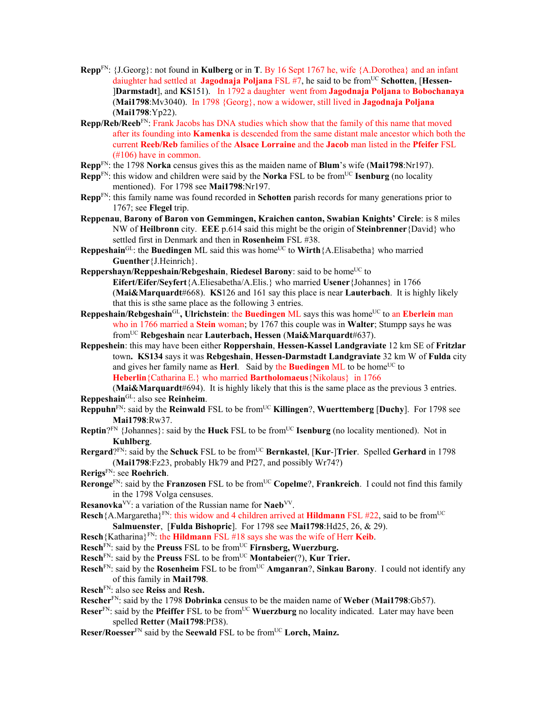- **Repp**FN: {J.Georg}: not found in **Kulberg** or in **T**. By 16 Sept 1767 he, wife {A.Dorothea} and an infant daiughter had settled at **Jagodnaja Poljana** FSL #7, he said to be fromUC **Schotten**, [**Hessen-** ]**Darmstadt**], and **KS**151). In 1792 a daughter went from **Jagodnaja Poljana** to **Bobochanaya** (**Mai1798**:Mv3040). In 1798 {Georg}, now a widower, still lived in **Jagodnaja Poljana**  (**Mai1798**:Yp22).
- **Repp/Reb/Reeb**FN: Frank Jacobs has DNA studies which show that the family of this name that moved after its founding into **Kamenka** is descended from the same distant male ancestor which both the current **Reeb/Reb** families of the **Alsace Lorraine** and the **Jacob** man listed in the **Pfeifer** FSL (#106) have in common.
- **Repp**FN: the 1798 **Norka** census gives this as the maiden name of **Blum**'s wife (**Mai1798**:Nr197).
- **Repp**<sup>FN</sup>: this widow and children were said by the **Norka** FSL to be from<sup>UC</sup> **Isenburg** (no locality mentioned). For 1798 see **Mai1798**:Nr197.
- **Repp**FN: this family name was found recorded in **Schotten** parish records for many generations prior to 1767; see **Flegel** trip.
- **Reppenau**, **Barony of Baron von Gemmingen, Kraichen canton, Swabian Knights' Circle**: is 8 miles NW of **Heilbronn** city. **EEE** p.614 said this might be the origin of **Steinbrenner**{David} who settled first in Denmark and then in **Rosenheim** FSL #38.
- **Reppeshain**<sup>GL</sup>: the **Buedingen** ML said this was home<sup>UC</sup> to **Wirth**{A.Elisabetha} who married **Guenther**{J.Heinrich}.
- **Reppershayn/Reppeshain/Rebgeshain, Riedesel Barony:** said to be home<sup>UC</sup> to **Eifert/Eifer/Seyfert**{A.Eliesabetha/A.Elis.} who married **Usener**{Johannes} in 1766 (**Mai&Marquardt**#668). **KS**126 and 161 say this place is near **Lauterbach**. It is highly likely that this is sthe same place as the following 3 entries.
- Reppeshain/Rebgeshain<sup>GL</sup>, Ulrichstein: the Buedingen ML says this was home<sup>UC</sup> to an Eberlein man who in 1766 married a **Stein** woman; by 1767 this couple was in **Walter**; Stumpp says he was fromUC **Rebgeshain** near **Lauterbach, Hessen** (**Mai&Marquardt**#637).
- **Reppeshein**: this may have been either **Roppershain**, **Hessen-Kassel Landgraviate** 12 km SE of **Fritzlar** town**. KS134** says it was **Rebgeshain**, **Hessen-Darmstadt Landgraviate** 32 km W of **Fulda** city and gives her family name as **Herl.** Said by the **Buedingen** ML to be home<sup>UC</sup> to **Heberlin**{Catharina E.} who married **Bartholomaeus**{Nikolaus} in 1766

(**Mai&Marquardt**#694). It is highly likely that this is the same place as the previous 3 entries. **Reppeshain**GL: also see **Reinheim**.

- **Reppuhn**<sup>FN</sup>: said by the **Reinwald** FSL to be from<sup>UC</sup> **Killingen**?, **Wuerttemberg** [Duchy]. For 1798 see **Mai1798**:Rw37.
- **Reptin**?<sup>FN</sup> {Johannes}: said by the **Huck** FSL to be from<sup>UC</sup> **Isenburg** (no locality mentioned). Not in **Kuhlberg**.
- **Rergard**?FN: said by the **Schuck** FSL to be fromUC **Bernkastel**, [**Kur**-]**Trier**. Spelled **Gerhard** in 1798 (**Mai1798**:Fz23, probably Hk79 and Pf27, and possibly Wr74?)
- **Rerigs**FN: see **Roehrich**.
- **Reronge**<sup>FN</sup>: said by the **Franzosen** FSL to be from<sup>UC</sup> Copelme?, **Frankreich**. I could not find this family in the 1798 Volga censuses.
- **Resanovka**VV: a variation of the Russian name for **Naeb**VV.
- Resch {A.Margaretha}<sup>FN</sup>: this widow and 4 children arrived at **Hildmann** FSL #22, said to be from<sup>UC</sup> **Salmuenster**, [**Fulda Bishopric**]. For 1798 see **Mai1798**:Hd25, 26, & 29).
- **Resch**{Katharina}FN: the **Hildmann** FSL #18 says she was the wife of Herr **Keib**.
- **Resch**FN: said by the **Preuss** FSL to be fromUC **Firnsberg, Wuerzburg.**
- Resch<sup>FN</sup>: said by the Preuss FSL to be from<sup>UC</sup> Montabeier(?), Kur Trier.
- **Resch**<sup>FN</sup>: said by the **Rosenheim** FSL to be from<sup>UC</sup> **Amganran**?, **Sinkau Barony**. I could not identify any of this family in **Mai1798**.
- **Resch**FN: also see **Reiss** and **Resh.**
- **Rescher**FN: said by the 1798 **Dobrinka** census to be the maiden name of **Weber** (**Mai1798**:Gb57).
- **Reser**<sup>FN</sup>: said by the **Pfeiffer** FSL to be from<sup>UC</sup> **Wuerzburg** no locality indicated. Later may have been spelled **Retter** (**Mai1798**:Pf38).
- **Reser/Roesser**FN said by the **Seewald** FSL to be fromUC **Lorch, Mainz.**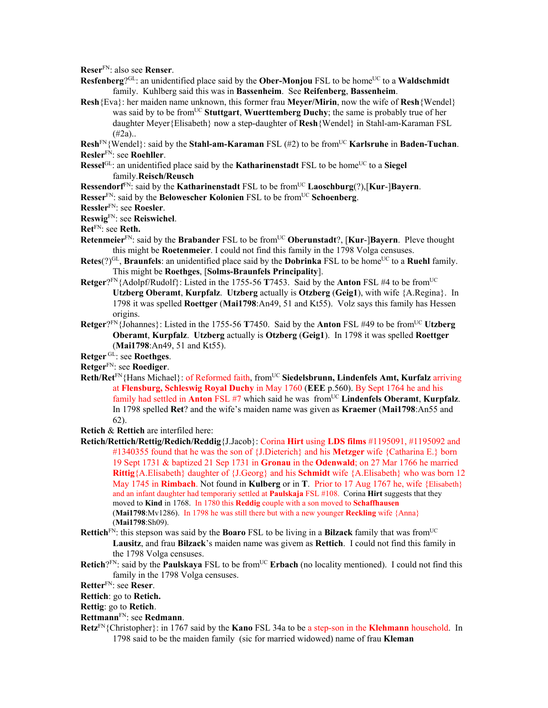**Reser**FN: also see **Renser**.

- **Resfenberg**?GL: an unidentified place said by the **Ober-Monjou** FSL to be home<sup>UC</sup> to a **Waldschmidt** family. Kuhlberg said this was in **Bassenheim**. See **Reifenberg**, **Bassenheim**.
- **Resh**{Eva}: her maiden name unknown, this former frau **Meyer/Mirin**, now the wife of **Resh**{Wendel} was said by to be fromUC **Stuttgart**, **Wuerttemberg Duchy**; the same is probably true of her daughter Meyer{Elisabeth} now a step-daughter of **Resh**{Wendel} in Stahl-am-Karaman FSL  $(#2a)$ ..

**Resh**FN{Wendel}: said by the **Stahl-am-Karaman** FSL (#2) to be fromUC **Karlsruhe** in **Baden-Tuchan**. **Resler**FN: see **Roehller**.

- **Ressel**GL: an unidentified place said by the **Katharinenstadt** FSL to be home<sup>UC</sup> to a **Siegel** family.**Reisch/Reusch**
- **Ressendorf**FN: said by the **Katharinenstadt** FSL to be fromUC **Laoschburg**(?),[**Kur**-]**Bayern**.
- **Resser**<sup>FN</sup>: said by the **Belowescher Kolonien** FSL to be from<sup>UC</sup> **Schoenberg**.

**Ressler**FN: see **Roesler**.

## **Reswig**FN: see **Reiswichel**.

**Ret**FN: see **Reth.** 

- **Retenmeier**<sup>FN</sup>: said by the **Brabander** FSL to be from<sup>UC</sup> **Oberunstadt**?, [**Kur-**]Bayern. Pleve thought this might be **Roetenmeier**. I could not find this family in the 1798 Volga censuses.
- **Retes** $(?)^{GL}$ , **Braunfels**: an unidentified place said by the **Dobrinka** FSL to be home<sup>UC</sup> to a **Ruehl** family. This might be **Roethges**, [**Solms-Braunfels Principality**].
- **Retger**?FN{Adolpf/Rudolf}: Listed in the 1755-56 **T**7453. Said by the **Anton** FSL #4 to be fromUC **Utzberg Oberamt**, **Kurpfalz**. **Utzberg** actually is **Otzberg** (**Geig1**), with wife {A.Regina}. In 1798 it was spelled **Roettger** (**Mai1798**:An49, 51 and Kt55). Volz says this family has Hessen origins.
- **Retger**? $F_N$ {Johannes}: Listed in the 1755-56 **T**7450. Said by the **Anton** FSL #49 to be from<sup>UC</sup> Utzberg **Oberamt**, **Kurpfalz**. **Utzberg** actually is **Otzberg** (**Geig1**). In 1798 it was spelled **Roettger** (**Mai1798**:An49, 51 and Kt55).

**Retger** GL: see **Roethges**.

**Retger**FN: see **Roediger**.

Reth/Ret<sup>FN</sup>{Hans Michael}: of Reformed faith, from<sup>UC</sup> Siedelsbrunn, Lindenfels Amt, Kurfalz arriving at **Flensburg, Schleswig Royal Duchy** in May 1760 (**EEE** p.560). By Sept 1764 he and his family had settled in **Anton** FSL #7 which said he was from<sup>UC</sup> Lindenfels Oberamt, Kurpfalz. In 1798 spelled **Ret**? and the wife's maiden name was given as **Kraemer** (**Mai1798**:An55 and 62).

**Retich** & **Rettich** are interfiled here:

- **Retich/Rettich/Rettig/Redich/Reddig**{J.Jacob}: Corina **Hirt** using **LDS films** #1195091, #1195092 and #1340355 found that he was the son of {J.Dieterich} and his **Metzger** wife {Catharina E.} born 19 Sept 1731 & baptized 21 Sep 1731 in **Gronau** in the **Odenwald**; on 27 Mar 1766 he married **Rittig**{A.Elisabeth} daughter of {J.Georg} and his **Schmidt** wife {A.Elisabeth} who was born 12 May 1745 in **Rimbach**. Not found in **Kulberg** or in **T**. Prior to 17 Aug 1767 he, wife {Elisabeth} and an infant daughter had temporariy settled at **Paulskaja** FSL #108. Corina **Hirt** suggests that they moved to **Kind** in 1768. In 1780 this **Reddig** couple with a son moved to **Schaffhausen**  (**Mai1798**:Mv1286). In 1798 he was still there but with a new younger **Reckling** wife {Anna} (**Mai1798**:Sh09).
- **Rettich**FN: this stepson was said by the **Boaro** FSL to be living in a **Bilzack** family that was fromUC **Lausitz**, and frau **Bilzack**'s maiden name was givem as **Rettich**. I could not find this family in the 1798 Volga censuses.
- **Retich**?FN: said by the **Paulskaya** FSL to be from<sup>UC</sup> **Erbach** (no locality mentioned). I could not find this family in the 1798 Volga censuses.

**Retter**FN: see **Reser**.

**Rettich**: go to **Retich.**

**Rettig**: go to **Retich**.

- **Rettmann**FN: see **Redmann**.
- **Retz**FN{Christopher}: in 1767 said by the **Kano** FSL 34a to be a step-son in the **Klehmann** household. In 1798 said to be the maiden family (sic for married widowed) name of frau **Kleman**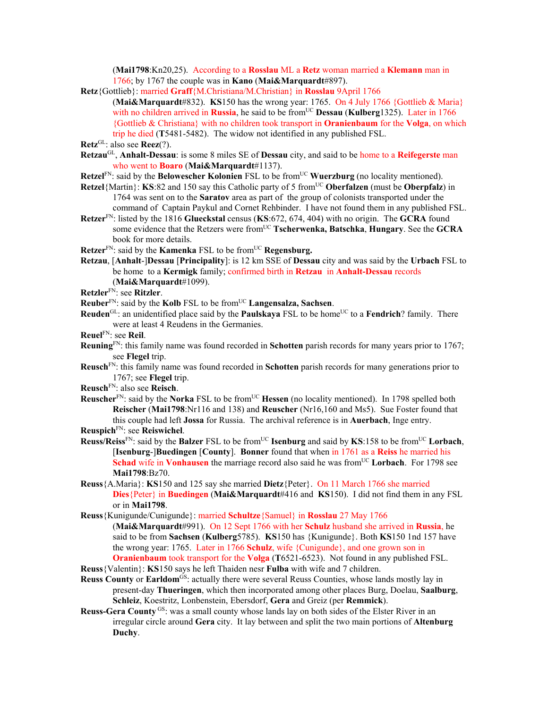(**Mai1798**:Kn20,25). According to a **Rosslau** ML a **Retz** woman married a **Klemann** man in 1766; by 1767 the couple was in **Kano** (**Mai&Marquardt**#897).

- **Retz**{Gottlieb}: married **Graff**{M.Christiana/M.Christian} in **Rosslau** 9April 1766
	- (**Mai&Marquardt**#832). **KS**150 has the wrong year: 1765. On 4 July 1766 {Gottlieb & Maria} with no children arrived in **Russia**, he said to be from<sup>UC</sup> **Dessau (Kulberg**1325). Later in 1766 {Gottlieb & Christiana} with no children took transport in **Oranienbaum** for the **Volga**, on which trip he died (**T**5481-5482). The widow not identified in any published FSL.

- **Retzau**GL, **Anhalt-Dessau**: is some 8 miles SE of **Dessau** city, and said to be home to a **Reifegerste** man who went to **Boaro** (**Mai&Marquardt**#1137).
- **Retzel**FN: said by the **Belowescher Kolonien** FSL to be from<sup>UC</sup> **Wuerzburg** (no locality mentioned).
- **Retzel**{Martin}: **KS**:82 and 150 say this Catholic party of 5 from<sup>UC</sup> Oberfalzen (must be Oberpfalz) in 1764 was sent on to the **Saratov** area as part of the group of colonists transported under the command of Captain Paykul and Cornet Rehbinder. I have not found them in any published FSL.
- **Retzer**FN: listed by the 1816 **Glueckstal** census (**KS**:672, 674, 404) with no origin. The **GCRA** found some evidence that the Retzers were fromUC **Tscherwenka, Batschka**, **Hungary**. See the **GCRA** book for more details.
- **Retzer**<sup>FN</sup>: said by the **Kamenka** FSL to be from<sup>UC</sup> **Regensburg.**
- **Retzau**, [**Anhalt**-]**Dessau** [**Principality**]: is 12 km SSE of **Dessau** city and was said by the **Urbach** FSL to be home to a **Kermigk** family; confirmed birth in **Retzau** in **Anhalt-Dessau** records (**Mai&Marquardt**#1099).
- **Retzler**FN: see **Ritzler**.
- **Reuber**FN: said by the **Kolb** FSL to be fromUC **Langensalza, Sachsen**.
- **Reuden**<sup>GL</sup>: an unidentified place said by the **Paulskaya** FSL to be home<sup>UC</sup> to a **Fendrich**? family. There were at least 4 Reudens in the Germanies.
- **Reuel**FN: see **Reil**.
- **Reuning**FN: this family name was found recorded in **Schotten** parish records for many years prior to 1767; see **Flegel** trip.
- **Reusch**FN: this family name was found recorded in **Schotten** parish records for many generations prior to 1767; see **Flegel** trip.
- **Reusch**FN: also see **Reisch**.
- **Reuscher**<sup>FN</sup>: said by the **Norka** FSL to be from<sup>UC</sup> **Hessen** (no locality mentioned). In 1798 spelled both **Reischer** (**Mai1798**:Nr116 and 138) and **Reuscher** (Nr16,160 and Ms5). Sue Foster found that this couple had left **Jossa** for Russia. The archival reference is in **Auerbach**, Inge entry.
- **Reuspich**FN: see **Reiswichel**.
- **Reuss/Reiss**FN: said by the **Balzer** FSL to be fromUC **Isenburg** and said by **KS**:158 to be fromUC **Lorbach**, [**Isenburg**-]**Buedingen** [**County**]. **Bonner** found that when in 1761 as a **Reiss** he married his **Schad** wife in **Vonhausen** the marriage record also said he was from<sup>UC</sup> Lorbach. For 1798 see **Mai1798**:Bz70.
- **Reuss**{A.Maria}: **KS**150 and 125 say she married **Dietz**{Peter}. On 11 March 1766 she married **Dies**{Peter} in **Buedingen** (**Mai&Marquardt**#416 and **KS**150). I did not find them in any FSL or in **Mai1798**.
- **Reuss**{Kunigunde/Cunigunde}: married **Schultze**{Samuel} in **Rosslau** 27 May 1766

(**Mai&Marquardt**#991). On 12 Sept 1766 with her **Schulz** husband she arrived in **Russia**, he said to be from **Sachsen** (**Kulberg**5785). **KS**150 has {Kunigunde}. Both **KS**150 1nd 157 have the wrong year: 1765. Later in 1766 **Schulz**, wife {Cunigunde}, and one grown son in **Oranienbaum** took transport for the **Volga** (**T**6521-6523). Not found in any published FSL.

- **Reuss**{Valentin}: **KS**150 says he left Thaiden nesr **Fulba** with wife and 7 children.
- **Reuss County or Earldom<sup>GS</sup>:** actually there were several Reuss Counties, whose lands mostly lay in present-day **Thueringen**, which then incorporated among other places Burg, Doelau, **Saalburg**, **Schleiz**, Koestritz, Lonbenstein, Ebersdorf, **Gera** and Greiz (per **Remmick**).
- **Reuss-Gera County** G<sub>S</sub>: was a small county whose lands lay on both sides of the Elster River in an irregular circle around **Gera** city. It lay between and split the two main portions of **Altenburg Duchy**.

**Retz**GL: also see **Reez**(?).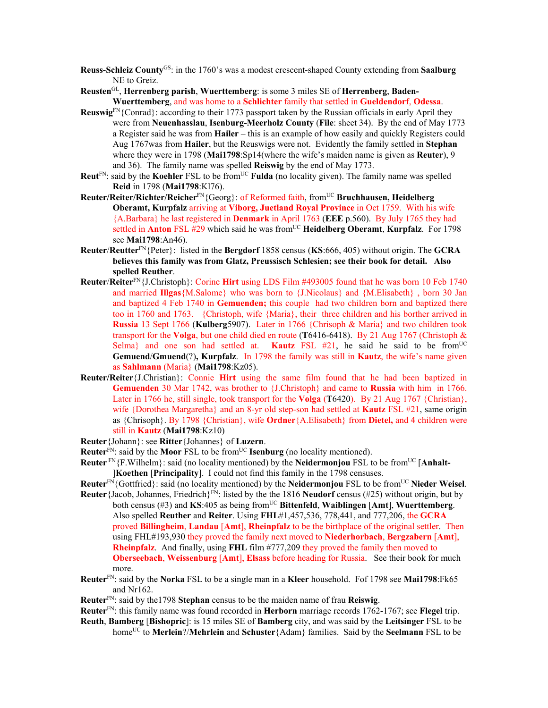- **Reuss-Schleiz County**GS: in the 1760's was a modest crescent-shaped County extending from **Saalburg** NE to Greiz.
- **Reusten**GL, **Herrenberg parish**, **Wuerttemberg**: is some 3 miles SE of **Herrenberg**, **Baden-Wuerttemberg**, and was home to a **Schlichter** family that settled in **Gueldendorf**, **Odessa**.
- **Reuswig**FN{Conrad}: according to their 1773 passport taken by the Russian officials in early April they were from **Neuenhasslau**, **Isenburg-Meerholz County** (**File**: sheet 34). By the end of May 1773 a Register said he was from **Hailer** – this is an example of how easily and quickly Registers could Aug 1767was from **Hailer**, but the Reuswigs were not. Evidently the family settled in **Stephan** where they were in 1798 (**Mai1798**:Sp14(where the wife's maiden name is given as **Reuter**), 9 and 36). The family name was spelled **Reiswig** by the end of May 1773.
- **Reut**<sup>FN</sup>: said by the **Koehler** FSL to be from<sup>UC</sup> **Fulda** (no locality given). The family name was spelled **Reid** in 1798 (**Mai1798**:Kl76).
- **Reuter/Reiter/Richter/Reicher**FN{Georg}: of Reformed faith, fromUC **Bruchhausen, Heidelberg Oberamt, Kurpfalz** arriving at **Viborg, Juetland Royal Province** in Oct 1759. With his wife {A.Barbara} he last registered in **Denmark** in April 1763 (**EEE** p.560). By July 1765 they had settled in **Anton** FSL #29 which said he was fromUC **Heidelberg Oberamt**, **Kurpfalz**. For 1798 see **Mai1798**:An46).
- **Reuter**/**Reutter**FN{Peter}: listed in the **Bergdorf** 1858 census (**KS**:666, 405) without origin. The **GCRA believes this family was from Glatz, Preussisch Schlesien; see their book for detail. Also spelled Reuther**.
- **Reuter**/**Reiter**FN{J.Christoph}: Corine **Hirt** using LDS Film #493005 found that he was born 10 Feb 1740 and married **Illgas**{M.Salome} who was born to {J.Nicolaus} and {M.Elisabeth} , born 30 Jan and baptized 4 Feb 1740 in **Gemuenden;** this couple had two children born and baptized there too in 1760 and 1763. {Christoph, wife {Maria}, their three children and his borther arrived in **Russia** 13 Sept 1766 (**Kulberg**5907). Later in 1766 {Chrisoph & Maria} and two children took transport for the **Volga**, but one child died en route (**T**6416-6418). By 21 Aug 1767 (Christoph & Selma<sub>l</sub> and one son had settled at. **Kautz** FSL #21, he said he said to be from<sup>UC</sup> **Gemuend**/**Gmuend**(?)**, Kurpfalz**. In 1798 the family was still in **Kautz**, the wife's name given as **Sahlmann** (Maria} (**Mai1798**:Kz05).
- **Reuter/Reiter**{J.Christian}: Connie **Hirt** using the same film found that he had been baptized in **Gemuenden** 30 Mar 1742, was brother to {J.Christoph} and came to **Russia** with him in 1766. Later in 1766 he, still single, took transport for the **Volga** (**T**6420). By 21 Aug 1767 {Christian}, wife {Dorothea Margaretha} and an 8-yr old step-son had settled at **Kautz** FSL #21, same origin as {Chrisoph}. By 1798 {Christian}, wife **Ordner**{A.Elisabeth} from **Dietel,** and 4 children were still in **Kautz** (**Mai1798**:Kz10)
- **Reuter**{Johann}: see **Ritter**{Johannes} of **Luzern**.
- **Reuter**<sup>FN</sup>: said by the **Moor** FSL to be from<sup>UC</sup> **Isenburg** (no locality mentioned).
- **Reuter** FN{F.Wilhelm}: said (no locality mentioned) by the **Neidermonjou** FSL to be from<sup>UC</sup> [Anhalt-]**Koethen** [**Principality**]. I could not find this family in the 1798 censuses.
- **Reuter**FN{Gottfried}: said (no locality mentioned) by the **Neidermonjou** FSL to be fromUC **Nieder Weisel**.
- **Reuter**{Jacob, Johannes, Friedrich}<sup>FN</sup>: listed by the the 1816 **Neudorf** census (#25) without origin, but by both census (#3) and **KS**:405 as being fromUC **Bittenfeld**, **Waiblingen** [**Amt**], **Wuerttemberg**. Also spelled **Reuther** and **Reiter**. Using **FHL**#1,457,536, 778,441, and 777,206, the **GCRA**  proved **Billingheim**, **Landau** [**Amt**], **Rheinpfalz** to be the birthplace of the original settler. Then using FHL#193,930 they proved the family next moved to **Niederhorbach**, **Bergzabern** [**Amt**], **Rheinpfalz**. And finally, using **FHL** film #777,209 they proved the family then moved to **Oberseebach**, **Weissenburg** [**Amt**], **Elsass** before heading for Russia. See their book for much more.
- **Reuter**FN: said by the **Norka** FSL to be a single man in a **Kleer** household. Fof 1798 see **Mai1798**:Fk65 and Nr162.
- **Reuter**FN: said by the1798 **Stephan** census to be the maiden name of frau **Reiswig**.
- **Reuter**FN: this family name was found recorded in **Herborn** marriage records 1762-1767; see **Flegel** trip.
- **Reuth**, **Bamberg** [**Bishopric**]: is 15 miles SE of **Bamberg** city, and was said by the **Leitsinger** FSL to be homeUC to **Merlein**?/**Mehrlein** and **Schuster**{Adam} families. Said by the **Seelmann** FSL to be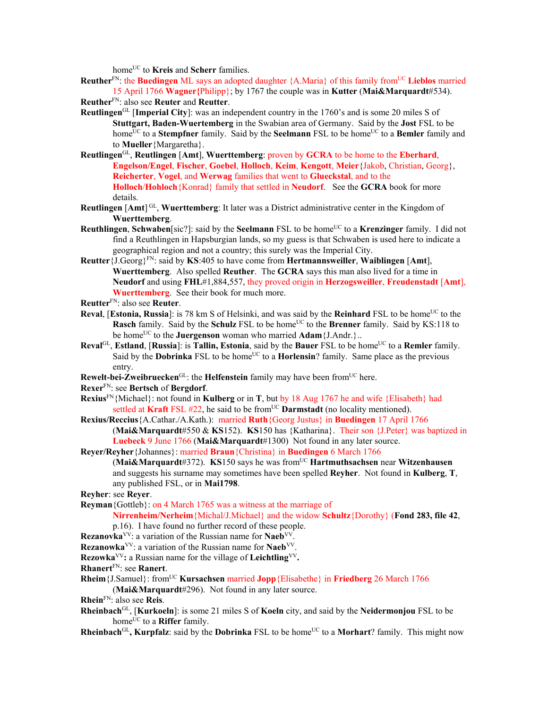home<sup>UC</sup> to **Kreis** and **Scherr** families.

**Reuther**<sup>FN</sup>: the **Buedingen** ML says an adopted daughter {A.Maria} of this family from<sup>UC</sup> Lieblos married 15 April 1766 **Wagner{**Philipp}; by 1767 the couple was in **Kutter** (**Mai&Marquardt**#534). **Reuther**FN: also see **Reuter** and **Reutter**.

- **Reutlingen**GL [**Imperial City**]: was an independent country in the 1760's and is some 20 miles S of **Stuttgart, Baden-Wuertemberg** in the Swabian area of Germany. Said by the **Jost** FSL to be home<sup>UC</sup> to a **Stempfner** family. Said by the **Seelmann** FSL to be home<sup>UC</sup> to a **Bemler** family and to **Mueller**{Margaretha}.
- **Reutlingen**GL, **Reutlingen** [**Amt**], **Wuerttemberg**: proven by **GCRA** to be home to the **Eberhard**, **Engelson/Engel**, **Fischer**, **Goebel**, **Holloch**, **Keim**, **Kengott**, **Meier**{Jakob, Christian, Georg}, **Reicherter**, **Vogel**, and **Werwag** families that went to **Glueckstal**, and to the **Holloch**/**Hohloch**{Konrad} family that settled in **Neudorf**. See the **GCRA** book for more details.
- **Reutlingen** [Amt]<sup>GL</sup>, Wuerttemberg: It later was a District administrative center in the Kingdom of **Wuerttemberg**.
- **Reuthlingen, Schwaben**[sic?]: said by the **Seelmann** FSL to be home<sup>UC</sup> to a **Krenzinger** family. I did not find a Reuthlingen in Hapsburgian lands, so my guess is that Schwaben is used here to indicate a geographical region and not a country; this surely was the Imperial City.
- **Reutter**{J.Georg}FN: said by **KS**:405 to have come from **Hertmannsweiller**, **Waiblingen** [**Amt**], **Wuerttemberg**. Also spelled **Reuther**. The **GCRA** says this man also lived for a time in **Neudorf** and using **FHL**#1,884,557, they proved origin in **Herzogsweiller**, **Freudenstadt** [**Amt**], **Wuerttemberg**. See their book for much more.
- **Reutter**FN: also see **Reuter**.
- **Reval, [Estonia, Russia**]: is 78 km S of Helsinki, and was said by the **Reinhard** FSL to be home<sup>UC</sup> to the **Rasch** family. Said by the **Schulz** FSL to be home<sup>UC</sup> to the **Brenner** family. Said by KS:118 to be home<sup>UC</sup> to the **Juergenson** woman who married **Adam** {J.Andr.}..
- **Reval**GL, **Estland**, [Russia]: is **Tallin, Estonia**, said by the **Bauer** FSL to be home<sup>UC</sup> to a **Remler** family. Said by the **Dobrinka** FSL to be home<sup>UC</sup> to a **Horlensin**? family. Same place as the previous entry.
- **Rewelt-bei-Zweibruecken**<sup>GL</sup>: the **Helfenstein** family may have been from<sup>UC</sup> here.

**Rexer**FN: see **Bertsch** of **Bergdorf**.

- **Rexius**FN{Michael}: not found in **Kulberg** or in **T**, but by 18 Aug 1767 he and wife {Elisabeth} had settled at **Kraft** FSL  $#22$ , he said to be from<sup>UC</sup> **Darmstadt** (no locality mentioned).
- **Rexius/Reccius**{A.Cathar./A.Kath.): married **Ruth**{Georg Justus} in **Buedingen** 17 April 1766 (**Mai&Marquardt**#550 & **KS**152). **KS**150 has {Katharina}. Their son {J.Peter} was baptized in **Luebeck** 9 June 1766 (**Mai&Marquardt**#1300) Not found in any later source.

**Reyer/Reyher**{Johannes}: married **Braun**{Christina} in **Buedingen** 6 March 1766

(**Mai&Marquardt**#372). **KS**150 says he was fromUC **Hartmuthsachsen** near **Witzenhausen** and suggests his surname may sometimes have been spelled **Reyher**. Not found in **Kulberg**, **T**, any published FSL, or in **Mai1798**.

**Reyher**: see **Reyer**.

**Reyman**{Gottleb}: on 4 March 1765 was a witness at the marriage of

**Nirrenheim/Nerheim**{Michal/J.Michael} and the widow **Schultz**{Dorothy} (**Fond 283, file 42**, p.16). I have found no further record of these people.

- **Rezanovka**VV: a variation of the Russian name for **Naeb**VV.
- **Rezanowka**<sup>VV</sup>: a variation of the Russian name for **Naeb**<sup>VV</sup>.
- **Rezowka**VV**:** a Russian name for the village of **Leichtling**VV**.**
- **Rhanert**FN: see **Ranert**.
- **Rheim** {J.Samuel}: from<sup>UC</sup> **Kursachsen** married **Jopp** {Elisabethe} in **Friedberg** 26 March 1766 (**Mai&Marquardt**#296). Not found in any later source.
- **Rhein**FN: also see **Reis**.
- **Rheinbach**GL, [**Kurkoeln**]: is some 21 miles S of **Koeln** city, and said by the **Neidermonjou** FSL to be home<sup>UC</sup> to a **Riffer** family.

**Rheinbach**<sup>GL</sup>, **Kurpfalz**: said by the **Dobrinka** FSL to be home<sup>UC</sup> to a **Morhart**? family. This might now